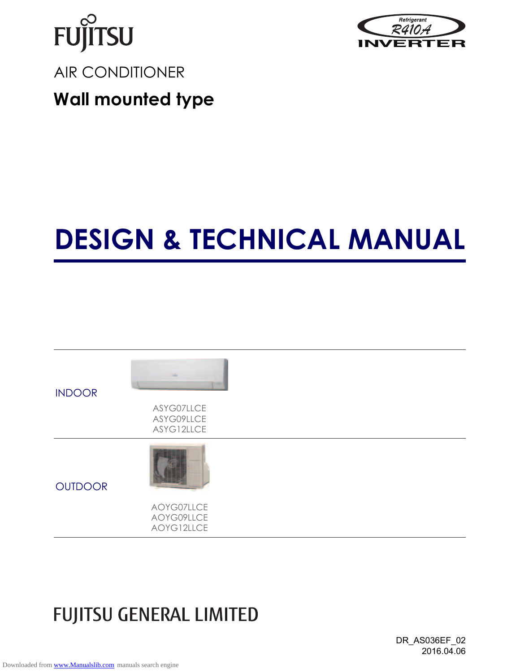



# **DESIGN & TECHNICAL MANUAL**



## **FUJITSU GENERAL LIMITED**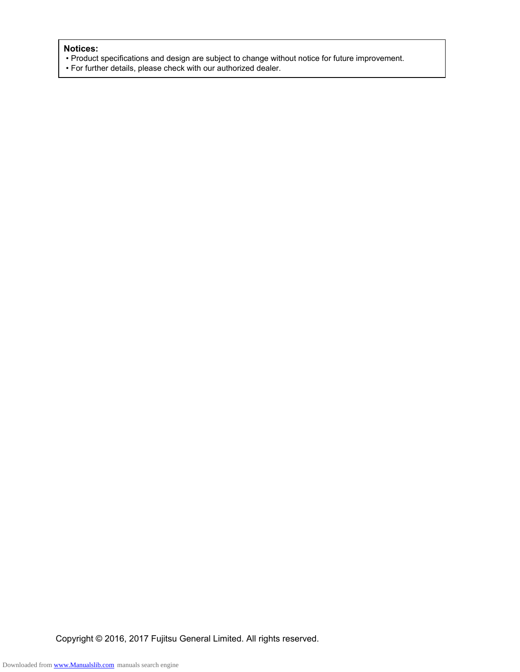#### **Notices:**

- Product specifications and design are subject to change without notice for future improvement.
- For further details, please check with our authorized dealer.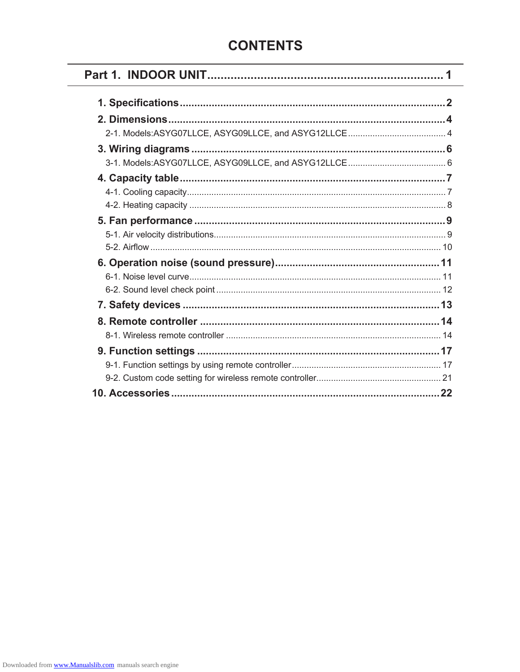## **CONTENTS**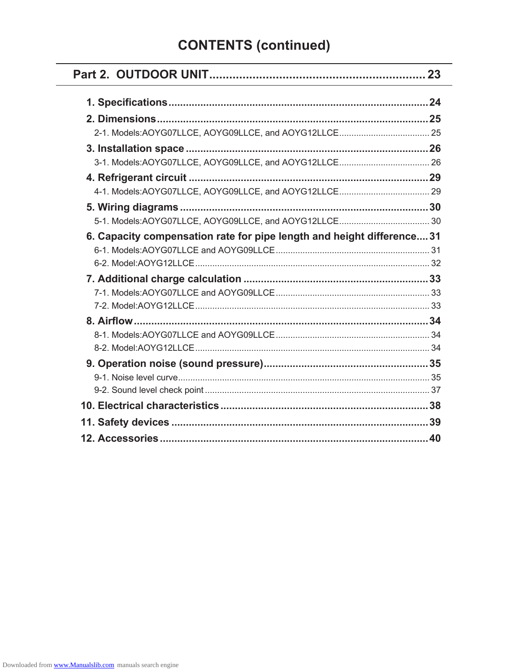## **CONTENTS (continued)**

۰

| 6. Capacity compensation rate for pipe length and height difference 31 |  |
|------------------------------------------------------------------------|--|
|                                                                        |  |
|                                                                        |  |
|                                                                        |  |
|                                                                        |  |
|                                                                        |  |
|                                                                        |  |
|                                                                        |  |
|                                                                        |  |
|                                                                        |  |
|                                                                        |  |
|                                                                        |  |
|                                                                        |  |
|                                                                        |  |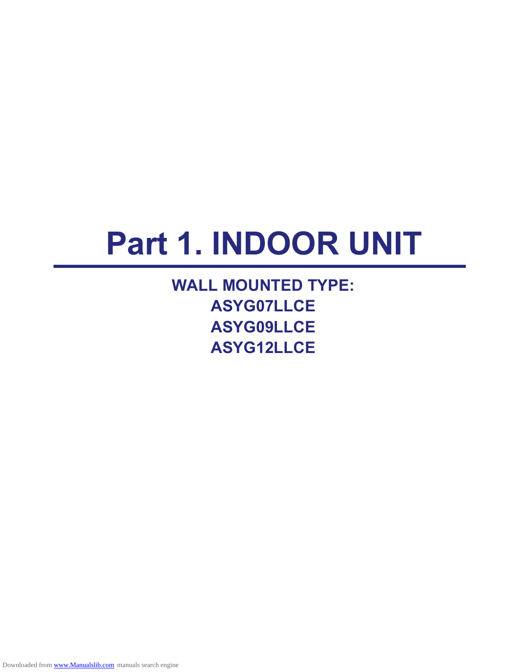# **Part 1. INDOOR UNIT**

**WALL MOUNTED TYPE: ASYG07LLCE ASYG09LLCE ASYG12LLCE**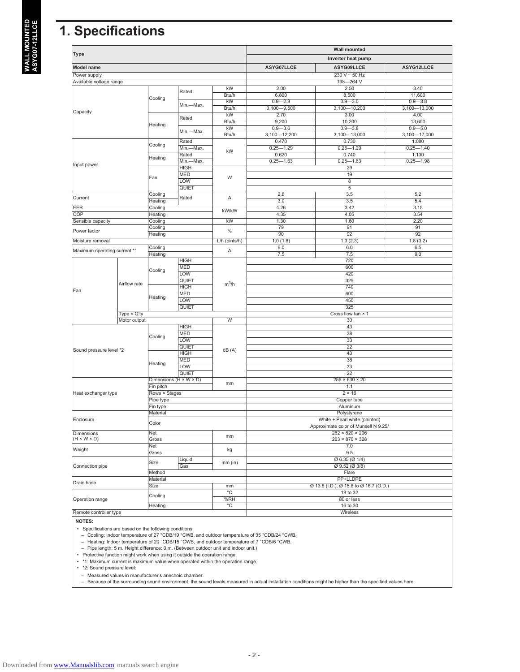## **1. Specifications**

|                              |                    |                                      |                    |                     |                      | <b>Wall mounted</b>                                                  |                  |  |  |  |  |
|------------------------------|--------------------|--------------------------------------|--------------------|---------------------|----------------------|----------------------------------------------------------------------|------------------|--|--|--|--|
| Type                         |                    |                                      |                    |                     |                      | Inverter heat pump                                                   |                  |  |  |  |  |
| <b>Model name</b>            |                    |                                      |                    |                     | ASYG07LLCE           | ASYG09LLCE                                                           | ASYG12LLCE       |  |  |  |  |
| Power supply                 |                    |                                      |                    |                     |                      | $230 V - 50 Hz$                                                      |                  |  |  |  |  |
| Available voltage range      |                    |                                      |                    |                     |                      | 198-264 V                                                            |                  |  |  |  |  |
|                              |                    |                                      | Rated              | kW                  | 2.00                 | 2.50                                                                 | 3.40             |  |  |  |  |
|                              |                    | Cooling                              |                    | Btu/h               | 6,800                | 8,500                                                                | 11,600           |  |  |  |  |
|                              |                    |                                      | Min.-Max.          | kW                  | $0.9 - 2.8$          | $0.9 - 3.0$                                                          | $0.9 - 3.8$      |  |  |  |  |
| Capacity                     |                    |                                      |                    | Btu/h               | $3,100 - 9,500$      | $3,100 - 10,200$                                                     | $3,100 - 13,000$ |  |  |  |  |
|                              |                    |                                      | Rated              | kW                  | 2.70                 | 3.00                                                                 | 4.00             |  |  |  |  |
|                              |                    | Heating                              |                    | Btu/h               | 9,200                | 10,200                                                               | 13,600           |  |  |  |  |
|                              |                    |                                      | Min.-Max.          | kW                  | $0.9 - 3.6$          | $0.9 - 3.8$                                                          | $0.9 - 5.0$      |  |  |  |  |
|                              |                    |                                      |                    | Btu/h               | $3,100 - 12,200$     | $3,100 - 13,000$                                                     | $3,100 - 17,000$ |  |  |  |  |
|                              |                    | Cooling                              | Rated              |                     | 0.470                | 0.730                                                                | 1.080            |  |  |  |  |
|                              |                    |                                      | Min.-Max.          | kW                  | $0.25 - 1.29$        | $0.25 - 1.29$                                                        | $0.25 - 1.40$    |  |  |  |  |
|                              |                    | Heating                              | Rated<br>Min.-Max. |                     | 0.620                | 0.740                                                                | 1.130            |  |  |  |  |
| Input power                  |                    |                                      | <b>HIGH</b>        |                     | $0.25 - 1.63$        | $0.25 - 1.63$<br>29                                                  | $0.25 - 1.98$    |  |  |  |  |
|                              |                    |                                      | <b>MED</b>         |                     |                      | 19                                                                   |                  |  |  |  |  |
|                              |                    | Fan                                  | LOW                | W                   |                      | $\overline{8}$                                                       |                  |  |  |  |  |
|                              |                    |                                      | QUIET              |                     |                      | $\overline{5}$                                                       |                  |  |  |  |  |
|                              |                    | Cooling                              |                    |                     | 2.6                  | 3.5                                                                  | 5.2              |  |  |  |  |
| Current                      |                    | Heating                              | Rated              | Α                   | 3.0                  | 3.5                                                                  | 5.4              |  |  |  |  |
| <b>EER</b>                   |                    | Cooling                              |                    |                     | 4.26                 | 3.42                                                                 | 3.15             |  |  |  |  |
| <b>COP</b>                   |                    | <b>Heating</b>                       |                    | kW/kW               | 4.35                 | 4.05                                                                 | 3.54             |  |  |  |  |
| Sensible capacity            |                    | Cooling                              |                    | kW                  | 1.30                 | 1.60                                                                 | 2.20             |  |  |  |  |
|                              |                    | Cooling                              |                    |                     | 79                   | 91                                                                   | 91               |  |  |  |  |
| Power factor                 |                    | Heating                              |                    | $\%$                | 90                   | 92                                                                   | $\overline{92}$  |  |  |  |  |
| Moisture removal             |                    |                                      |                    | $L/h$ (pints/h)     | 1.0(1.8)             | 1.3(2.3)                                                             | 1.8(3.2)         |  |  |  |  |
|                              |                    | Cooling                              |                    |                     | 6.0                  | 6.0                                                                  | 6.5              |  |  |  |  |
| Maximum operating current *1 |                    | Heating                              |                    | Α                   | 7.5                  | 7.5                                                                  | 9.0              |  |  |  |  |
|                              |                    |                                      | <b>HIGH</b>        |                     |                      | 720                                                                  |                  |  |  |  |  |
|                              |                    |                                      | <b>MED</b>         |                     |                      | 600                                                                  |                  |  |  |  |  |
|                              |                    | Cooling                              | LOW                |                     | 420                  |                                                                      |                  |  |  |  |  |
|                              |                    |                                      | QUIET              |                     | 325                  |                                                                      |                  |  |  |  |  |
|                              | Airflow rate       |                                      | <b>HIGH</b>        | $m^3/h$             | 740                  |                                                                      |                  |  |  |  |  |
| Fan                          |                    | <b>MED</b>                           |                    |                     | 600                  |                                                                      |                  |  |  |  |  |
|                              |                    | Heating<br>LOW                       |                    |                     |                      | 450                                                                  |                  |  |  |  |  |
|                              |                    |                                      | QUIET              |                     |                      | 325                                                                  |                  |  |  |  |  |
|                              | Type $\times$ Q'ty |                                      |                    |                     |                      | Cross flow fan × 1                                                   |                  |  |  |  |  |
|                              | Motor output       |                                      |                    | W                   |                      | 30                                                                   |                  |  |  |  |  |
|                              |                    |                                      | <b>HIGH</b>        |                     |                      | 43                                                                   |                  |  |  |  |  |
|                              |                    |                                      | <b>MED</b>         |                     |                      | 38                                                                   |                  |  |  |  |  |
|                              |                    | Cooling                              | LOW                |                     |                      | $\overline{33}$                                                      |                  |  |  |  |  |
|                              |                    |                                      | QUIET              |                     |                      | $\overline{22}$                                                      |                  |  |  |  |  |
| Sound pressure level *2      |                    |                                      | <b>HIGH</b>        | dB(A)               |                      | 43                                                                   |                  |  |  |  |  |
|                              |                    |                                      | <b>MED</b>         |                     |                      | 38                                                                   |                  |  |  |  |  |
|                              |                    | Heating                              | LOW                |                     |                      | 33                                                                   |                  |  |  |  |  |
|                              |                    |                                      | QUIET              |                     |                      | $\overline{22}$                                                      |                  |  |  |  |  |
|                              |                    | Dimensions ( $H \times W \times D$ ) |                    | mm                  |                      | $256 \times 630 \times 20$                                           |                  |  |  |  |  |
|                              |                    | Fin pitch                            |                    |                     |                      | 1.1                                                                  |                  |  |  |  |  |
| Heat exchanger type          |                    | Rows × Stages                        |                    |                     |                      | $2 \times 16$                                                        |                  |  |  |  |  |
|                              |                    | Pipe type                            |                    |                     |                      | Copper tube                                                          |                  |  |  |  |  |
|                              |                    | Fin type                             |                    |                     |                      | Aluminum                                                             |                  |  |  |  |  |
|                              |                    | Material                             |                    |                     |                      | Polystyrene                                                          |                  |  |  |  |  |
| Enclosure                    |                    | Color                                |                    |                     |                      | White + Pearl white (painted)<br>Approximate color of Munsell N 9.25 |                  |  |  |  |  |
| Dimensions                   |                    | Net                                  |                    |                     |                      | $262 \times 820 \times 206$                                          |                  |  |  |  |  |
| $(H \times W \times D)$      |                    | Gross                                |                    | mm                  |                      | $263 \times 870 \times 328$                                          |                  |  |  |  |  |
| Weight                       |                    | <b>Net</b>                           |                    | kg                  |                      | 7.0                                                                  |                  |  |  |  |  |
|                              |                    | Gross                                |                    |                     |                      | 9.5                                                                  |                  |  |  |  |  |
|                              |                    | Size                                 | Liquid             | mm (in)             |                      | $\varnothing$ 6.35 ( $\varnothing$ 1/4)                              |                  |  |  |  |  |
| Connection pipe              |                    |                                      | Gas                |                     |                      | $Q$ 9.52 ( $Q$ 3/8)                                                  |                  |  |  |  |  |
|                              |                    | Method                               |                    |                     |                      | Flare<br>PP+LLDPE                                                    |                  |  |  |  |  |
| Drain hose                   |                    | Material                             |                    |                     |                      |                                                                      |                  |  |  |  |  |
|                              |                    | Size                                 |                    | mm                  |                      | Ø 13.8 (I.D.), Ø 15.8 to Ø 16.7 (O.D.)                               |                  |  |  |  |  |
| Operation range              |                    | Cooling                              |                    | $^{\circ}$ C<br>%RH | 18 to 32             |                                                                      |                  |  |  |  |  |
|                              |                    | Heating                              |                    | °C                  | 80 or less           |                                                                      |                  |  |  |  |  |
| Remote controller type       |                    |                                      |                    |                     | 16 to 30<br>Wireless |                                                                      |                  |  |  |  |  |
|                              |                    |                                      |                    |                     |                      |                                                                      |                  |  |  |  |  |

**NOTES:**

• Specifications are based on the following conditions:<br>← Cooling: Indoor temperature of 27 °CDB/19 °CWB, and outdoor temperature of 35 °CDB/24 °CWB.<br>← Heating: Indoor temperature of 20 °CDB/15 °CWB, and outdoor temperatu

– Pipe length: 5 m, Height difference: 0 m. (Between outdoor unit and indoor unit.)

• Protective function might work when using it outside the operation range. • \*1: Maximum current is maximum value when operated within the operation range.

• \*2: Sound pressure level:

– Measured values in manufacturer's anechoic chamber. – Because of the surrounding sound environment, the sound levels measured in actual installation conditions might be higher than the specified values here.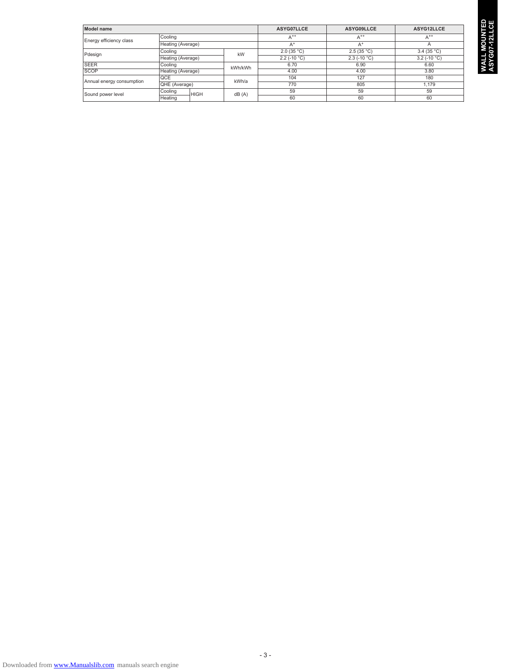| Model name                |                        |         | ASYG07LLCE     | ASYG09LLCE               | ASYG12LLCE               |
|---------------------------|------------------------|---------|----------------|--------------------------|--------------------------|
| Energy efficiency class   | Cooling                |         | $A^{++}$       | $A^{++}$                 | $A^{++}$                 |
|                           | Heating (Average)      |         | $A^+$          | $A^+$                    | Α                        |
| Pdesign                   | Cooling                | kW      | 2.0(35 °C)     | 2.5(35 °C)               | 3.4 $(35 °C)$            |
|                           | Heating (Average)      |         | $2.2$ (-10 °C) | $2.3$ (-10 $^{\circ}$ C) | $3.2$ (-10 $^{\circ}$ C) |
| <b>SEER</b>               | Cooling                | kWh/kWh | 6.70           | 6.90                     | 6.60                     |
| <b>SCOP</b>               | Heating (Average)      |         | 4.00           | 4.00                     | 3.80                     |
| Annual energy consumption | QCE                    | kWh/a   | 104            | 127                      | 180                      |
|                           | IQHE (Average)         |         | 770            | 805                      | 1.179                    |
| Sound power level         | Cooling<br><b>HIGH</b> | dB(A)   | 59             | 59                       | 59                       |
|                           | Heating                |         | 60             | 60                       | 60                       |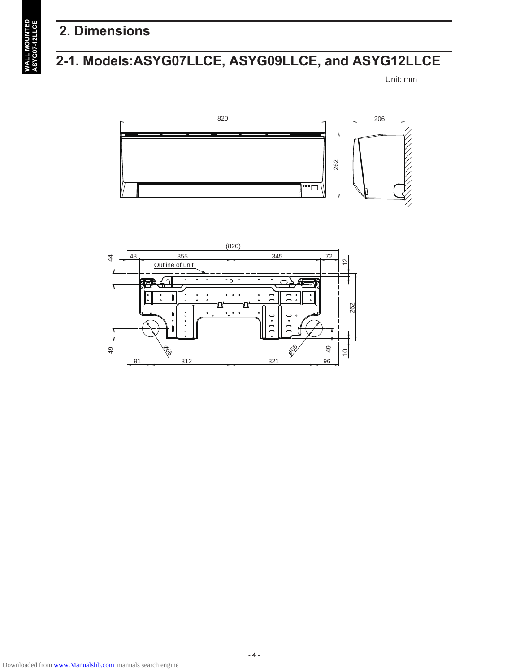## **2. Dimensions**

## **2-1. Models:ASYG07LLCE, ASYG09LLCE, and ASYG12LLCE**

Unit: mm





**IALL MOUNTED**<br>SYG07-12LLCE **WALL MOUNTED ASYG07-12LLCE**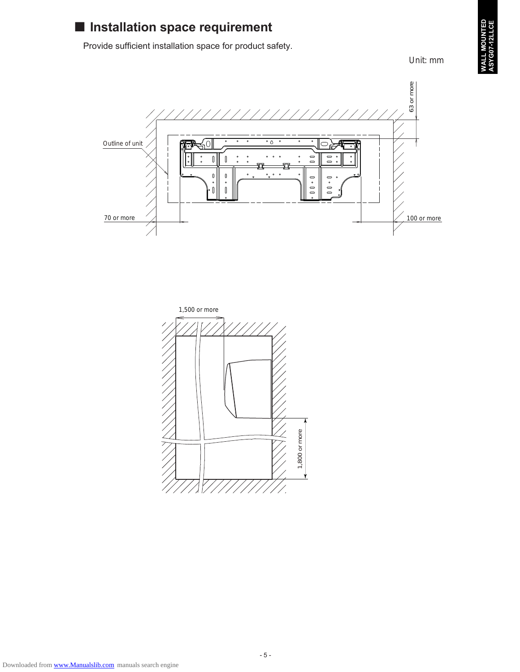

## ■ Installation space requirement

Provide sufficient installation space for product safety.

Unit: mm



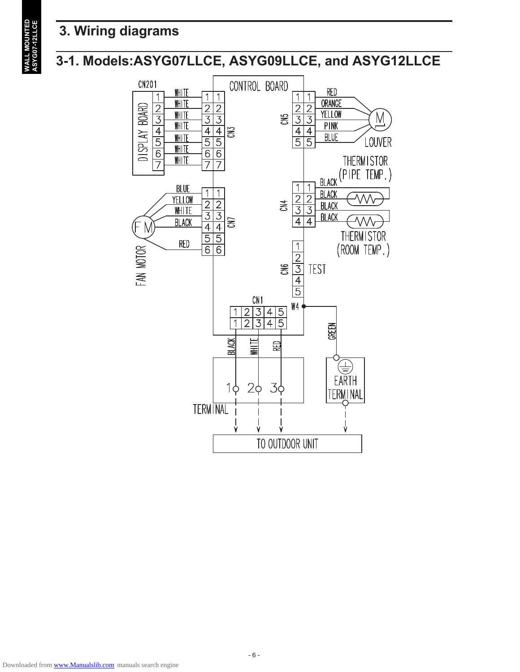## **3. Wiring diagrams**

## **3-1. Models:ASYG07LLCE, ASYG09LLCE, and ASYG12LLCE**



**WALL MOUNTED<br>ASYG07-12LLCE WALL MOUNTED ASYG07-12LLCE**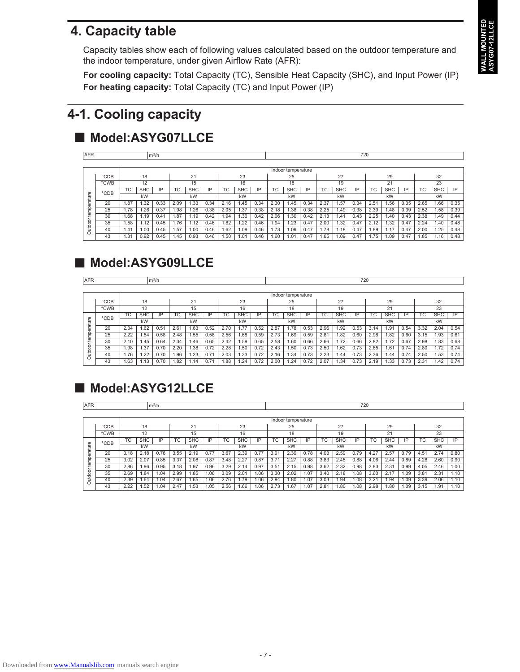## **4. Capacity table**

Capacity tables show each of following values calculated based on the outdoor temperature and the indoor temperature, under given Airflow Rate (AFR):

**For cooling capacity:** Total Capacity (TC), Sensible Heat Capacity (SHC), and Input Power (IP) **For heating capacity:** Total Capacity (TC) and Input Power (IP)

## **4-1. Cooling capacity**

## ■ Model:ASYG07LLCE

| <b>AFR</b> |      |      |            | m <sup>3</sup> /h |      |            |      |      |            |      |      |                    |      |      |            | 720  |      |                   |      |      |            |      |
|------------|------|------|------------|-------------------|------|------------|------|------|------------|------|------|--------------------|------|------|------------|------|------|-------------------|------|------|------------|------|
|            |      |      |            |                   |      |            |      |      |            |      |      |                    |      |      |            |      |      |                   |      |      |            |      |
|            |      |      |            |                   |      |            |      |      |            |      |      | Indoor temperature |      |      |            |      |      |                   |      |      |            |      |
|            | °CDB |      | 18         |                   |      | 21         |      |      | 23         |      |      | 25                 |      |      | 27         |      |      | 29                |      |      | 32         |      |
|            | °CWB |      | 12         |                   |      | 15         |      |      | 16         |      |      | 18                 |      |      | 19         |      |      | 21                |      |      | 23         |      |
|            | °CDB | ТC   | <b>SHC</b> | IP                | ТC   | <b>SHC</b> | IP   | TC   | <b>SHC</b> | IP   | ТC   | <b>SHC</b>         | IP   | ТC   | <b>SHC</b> | IP   | ТC   | <b>SHC</b>        | IP   | ТC   | <b>SHC</b> | IP   |
| ature      |      |      | kW         |                   |      | kW         |      |      | kW         |      |      | kW                 |      |      | kW         |      |      | kW                |      |      | kW         |      |
| 5          | 20   | .87  | .32        | 0.33              | 2.09 | .33        | 0.34 | 2.16 | .45        | 0.34 | 2.30 | .45                | 0.34 | 2.37 | .57        | 0.34 | 2.51 | .56               | 0.35 | 2.65 | .66        | 0.35 |
| Ō.<br>tem  | 25   | 1.78 | .26        | 0.37              | .98  | .26        | 0.38 | 2.05 | .37        | 0.38 | 2.18 | .38                | 0.38 | 2.25 | 1.49       | 0.38 | 2.39 | 1.48              | 0.39 | 2.52 | .58        | 0.39 |
|            | 30   | .68  | 1.19       | 0.41              | .87  | .19        | 0.42 | .94  | 1.30       | 0.42 | 2.06 | .30                | 0.42 | 2.13 | 1.41       | 0.43 | 2.25 | 1.40              | 0.43 | 2.38 | i.49       | 0.44 |
| utdoor     | 35   | .58  | 1.12       | 0.45              | 1.76 | .12        | 0.46 | .82  | .22        | 0.46 | .94  | .23                | 0.47 | 2.00 | 1.32       | 0.47 | 2.12 | .32               | 0.47 | 2.24 | 1.40       | 0.48 |
|            | 40   | 1.41 | 0.00       | 0.45              | .57  | .00        | 0.46 | .62  | 1.09       | 0.46 | 1.73 | .09                | 0.47 | 1.78 | 1.18       | 0.47 | .89  | $\overline{1.17}$ | 0.47 | 2.00 | .25        | 0.48 |
|            | 43   | . 31 | 0.92       | 0.45              | i.45 | 0.93       | 0.46 | .50  | 1.01       | 0.46 | .60  | .01                | 0.47 | .65  | 0.09       | 0.47 | .75  | 0.09              | 0.47 | 85،، | 1.16       | 0.48 |

## ■ Model:ASYG09LLCE

| <b>AFR</b>             |      | $m^3/h$        |                |                                                  |      |     |                |      |        |      |            |                    |      |            |      | 720  |            |      |      |            |      |      |
|------------------------|------|----------------|----------------|--------------------------------------------------|------|-----|----------------|------|--------|------|------------|--------------------|------|------------|------|------|------------|------|------|------------|------|------|
|                        |      |                |                |                                                  |      |     |                |      |        |      |            |                    |      |            |      |      |            |      |      |            |      |      |
|                        |      |                |                |                                                  |      |     |                |      |        |      |            | Indoor temperature |      |            |      |      |            |      |      |            |      |      |
|                        | °CDB | 23<br>18<br>21 |                |                                                  |      |     |                |      |        |      | 25         |                    |      | 27         |      |      | 29         |      |      | 32         |      |      |
|                        | °CWB |                | 12<br>15<br>16 |                                                  |      |     |                |      |        |      | 18         |                    |      | 19         |      |      | 21         |      | 23   |            |      |      |
|                        | °CDB | TC             | <b>SHC</b>     | <b>SHC</b><br><b>SHC</b><br>ТC<br>IP<br>ТC<br>IP |      |     |                |      | IP     | ТC   | <b>SHC</b> | IP                 | TC   | <b>SHC</b> | IP   | TC   | <b>SHC</b> | IP   | TC   | <b>SHC</b> | IP   |      |
| ure<br>ىپ              |      | kW<br>kW<br>kW |                |                                                  |      |     | kW<br>kW<br>kW |      |        |      |            |                    | kW   |            |      |      |            |      |      |            |      |      |
| ā<br>Φ                 | 20   | 2.34           | 1.62           | 0.51                                             | 2.61 | .63 | 0.52           | 2.70 | .77    | 0.52 | 2.87       | 1.78               | 0.53 | 2.96       | 1.92 | 0.53 | 3.14       | .91  | 0.54 | 3.32       | 2.04 | 0.54 |
| Ê                      | 25   | 2.22           | 1.54           | 0.58                                             | 2.48 | .55 | 0.58           | 2.56 | .68    | 0.59 | 2.73       | .69                | 0.59 | 2.81       | .82  | 0.60 | 2.98       | .82  | 0.60 | 3.15       | 1.93 | 0.61 |
| ₫                      | 30   | 2.10           | 1.45           | 0.64                                             | 2.34 | .46 | 0.65           | 2.42 | . . 59 | 0.65 | 2.58       | 1.60               | 0.66 | 2.66       | 1.72 | 0.66 | 2.82       | 1.72 | 0.67 | 2.98       | 1.83 | 0.68 |
| $\circ$<br>$rac{8}{3}$ | 35   | 1.98           | 1.37           | 0.70                                             | 2.20 | .38 | 0.72           | 2.28 | .50    | 0.72 | 2.43       | .50                | 0.73 | 2.50       | 1.62 | 0.73 | 2.65       | i.61 | 0.74 | 2.80       | 1.72 | 0.74 |
|                        | 40   | 1.76           | 1.22           | 0.70                                             | .96  | .23 | $0.7^{\circ}$  | 2.03 | .33    | 0.72 | 2.16       | .34                | 0.73 | 2.23       | 1.44 | 0.73 | 2.36       | .44  | 0.74 | 2.50       | 1.53 | 0.74 |
|                        | 43   | 1.63           | 1.13           | 0.70                                             | .82  | .14 | $0.7^{\circ}$  | .88  | .24    | 0.72 | 2.00       | .24                | 0.72 | 2.07       | .34  | 0.73 | 2.19       | .33  | 0.73 | 2.31       | 1.42 | 0.74 |

## ■ Model:ASYG12LLCE

| <b>AFR</b> |         |                                                                      | $m^3/h$        |      |      |      |      |            |      |      |            |                    |      |            |      | 720  |            |      |      |      |      |      |
|------------|---------|----------------------------------------------------------------------|----------------|------|------|------|------|------------|------|------|------------|--------------------|------|------------|------|------|------------|------|------|------|------|------|
|            |         |                                                                      |                |      |      |      |      |            |      |      |            |                    |      |            |      |      |            |      |      |      |      |      |
|            |         |                                                                      |                |      |      |      |      |            |      |      |            | Indoor temperature |      |            |      |      |            |      |      |      |      |      |
|            | $°C$ DB |                                                                      | 23<br>18<br>21 |      |      |      |      |            |      |      | 25         |                    |      | 27         |      |      | 29         |      |      | 32   |      |      |
|            | °CWB    | 16<br>12<br>15                                                       |                |      |      |      |      | 18         |      |      | 19         |                    |      | 21         |      |      | 23         |      |      |      |      |      |
|            | °CDB    | <b>SHC</b><br>TC<br><b>SHC</b><br>IP<br>ТC<br><b>SHC</b><br>ТC<br>IP |                |      |      | ΙP   | ТC   | <b>SHC</b> | IP   | ТC   | <b>SHC</b> | ΙP                 | ТC   | <b>SHC</b> | IP   | ТC   | <b>SHC</b> | IP   |      |      |      |      |
| erature    |         |                                                                      | kW             |      |      | kW   |      |            | kW   |      |            | kW                 |      |            | kW   |      |            | kW   |      |      | kW   |      |
|            | 20      | 3.18                                                                 | 2.18           | 0.76 | 3.55 | 2.19 | 0.77 | 3.67       | 2.39 | 0.77 | 3.91       | 2.39               | 0.78 | 4.03       | 2.59 | 0.79 | 4.27       | 2.57 | 0.79 | 4.51 | 2.74 | 0.80 |
| tempe      | 25      | 3.02                                                                 | 2.07           | 0.85 | 3.37 | 2.08 | 0.87 | 3.48       | 2.27 | 0.87 | 3.71       | 2.27               | 0.88 | 3.83       | 2.45 | 0.88 | 4.06       | 2.44 | 0.89 | 4.28 | 2.60 | 0.90 |
|            | 30      | 2.86                                                                 | 1.96           | 0.95 | 3.18 | 1.97 | 0.96 | 3.29       | 2.14 | 0.97 | 3.51       | 2.15               | 0.98 | 3.62       | 2.32 | 0.98 | 3.83       | 2.31 | 0.99 | 4.05 | 2.46 | 1.00 |
| ō<br>utdo  | 35      | 2.69                                                                 | .84            | .04  | 2.99 | 1.85 | 1.06 | 3.09       | 2.01 | .06  | 3.30       | 2.02               | 1.07 | 3.40       | 2.18 | .08  | 3.60       | 2.17 | .09  | 3.81 | 2.31 | 1.10 |
|            | 40      | 2.39                                                                 | .64            | .04  | 2.67 | .65  | .06  | 2.76       | .79  | .06  | 2.94       | .80                | 1.07 | 3.03       | .94  | .08  | 3.21       | .94  | i.09 | 3.39 | 2.06 | 1.10 |
|            | 43      | 2.22                                                                 | .52            | .04  | 2.47 | .53  | .05  | 2.56       | .66  | 0.06 | 2.73       | .67                | .07  | 2.81       | .80  | .08  | 2.98       | .80  | .09  | 3.15 | 1.91 | 1.10 |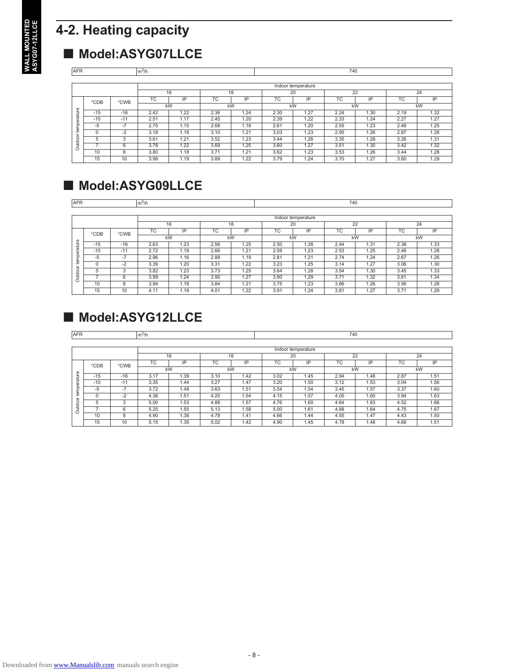## **4-2. Heating capacity**

## ■ Model:ASYG07LLCE

| <b>AFR</b> | $m^3/h$  |       |      |      |      |      |      |                    | 740       |      |      |      |
|------------|----------|-------|------|------|------|------|------|--------------------|-----------|------|------|------|
|            |          |       |      |      |      |      |      |                    |           |      |      |      |
|            |          |       |      |      |      |      |      | Indoor temperature |           |      |      |      |
|            |          |       | 16   |      |      | 18   |      | 20                 |           | 22   |      | 24   |
|            | °CDB     | °CWB  | TC   | IP   | TC   | IP   | TC   | IP                 | <b>TC</b> | IP   | TC   | IP   |
|            |          |       | kW   |      | kW   |      |      | kW                 | kW        |      |      | kW   |
| ature      | $-15$    | $-16$ | 2.42 | .22  | 2.36 | 1.24 | 2.30 | 1.27               | 2.24      | 1.30 | 2.19 | 1.32 |
| 5          | $-10$    | $-11$ | 2.51 | 1.17 | 2.45 | 1.20 | 2.39 | 1.22               | 2.33      | 1.24 | 2.27 | 1.27 |
| a<br>tem   | $-5$     | $-7$  | 2.75 | 1.15 | 2.68 | 1.18 | 2.61 | 1.20               | 2.55      | 1.23 | 2.48 | 1.25 |
|            | $\Omega$ | $-2$  | 3.18 | 1.18 | 3.10 | 1.21 | 3.03 | 1.23               | 2.95      | 1.26 | 2.87 | 1.28 |
| $\circ$    | 5        | 3     | 3.61 | .21  | 3.52 | 1.23 | 3.44 | 1.26               | 3.35      | 1.28 | 3.26 | 1.31 |
| Outdo      |          | 6     | 3.78 | .22  | 3.69 | 1.25 | 3.60 | 1.27               | 3.51      | 1.30 | 3.42 | 1.32 |
|            | 10       | 8     | 3.80 | 1.18 | 3.71 | 1.21 | 3.62 | 1.23               | 3.53      | 1.26 | 3.44 | 1.28 |
|            | 15       | 10    | 3.98 | 1.19 | 3.89 | 1.22 | 3.79 | 1.24               | 3.70      | 1.27 | 3.60 | 1.29 |

## ■ Model:ASYG09LLCE

| <b>AFR</b> | $m^3/h$  |        |           |      |      |      |      |                    | 740       |      |      |      |
|------------|----------|--------|-----------|------|------|------|------|--------------------|-----------|------|------|------|
|            |          |        |           |      |      |      |      |                    |           |      |      |      |
|            |          |        |           |      |      |      |      | Indoor temperature |           |      |      |      |
|            |          |        | 16        |      |      | 18   | 20   |                    |           | 22   |      | 24   |
|            | °CDB     | °CWB   | <b>TC</b> | IP   | ТC   | IP   | TC.  | IP                 | <b>TC</b> | IP   | ТC   | IP   |
|            |          |        | kW        |      | kW   |      | kW   |                    | kW        |      |      | kW   |
| ture       | $-15$    | $-16$  | 2.63      | 1.23 | 2.56 | 1.25 | 2.50 | 1.28               | 2.44      | 1.31 | 2.38 | 1.33 |
| era        | $-10$    | $-11$  | 2.72      | 1.18 | 2.66 | 1.21 | 2.59 | 1.23               | 2.53      | 1.25 | 2.46 | 1.28 |
| temp       | $-5$     | $-7$   | 2.96      | 1.16 | 2.88 | 1.19 | 2.81 | 1.21               | 2.74      | 1.24 | 2.67 | 1.26 |
|            | $\Omega$ | $-2$   | 3.39      | 1.20 | 3.31 | 1.22 | 3.23 | 1.25               | 3.14      | 1.27 | 3.06 | 1.30 |
| ਠ          | 5        | $\sim$ | 3.82      | 1.23 | 3.73 | 1.25 | 3.64 | 1.28               | 3.54      | 1.30 | 3.45 | 1.33 |
| Outdo      |          | 6      | 3.99      | 1.24 | 3.90 | 1.27 | 3.80 | 1.29               | 3.71      | 1.32 | 3.61 | 1.34 |
|            | 10       | 8      | 3.94      | 1.18 | 3.84 | 1.21 | 3.75 | 1.23               | 3.66      | 1.26 | 3.56 | 1.28 |
|            | 15       | 10     | 4.11      | 1.19 | 4.01 | 1.22 | 3.91 | 1.24               | 3.81      | 1.27 | 3.71 | 1.29 |

## ■ Model:ASYG12LLCE

| <b>AFR</b> |          |       | $m^3/h$   |      |      |      |      |                    | 740  |      |      |      |  |  |  |
|------------|----------|-------|-----------|------|------|------|------|--------------------|------|------|------|------|--|--|--|
|            |          |       |           |      |      |      |      |                    |      |      |      |      |  |  |  |
|            |          |       |           |      |      |      |      | Indoor temperature |      |      |      |      |  |  |  |
|            |          |       |           | 16   | 18   |      |      | 20                 | 22   |      | 24   |      |  |  |  |
|            | °CDB     | °CWB  | <b>TC</b> | IP   | ТC   | IP   | ТC   | IP                 | TC   | ΙP   | TC   | ΙP   |  |  |  |
|            |          |       | kW        |      | kW   |      |      | kW                 | kW   |      |      | kW   |  |  |  |
| ture       | $-15$    | $-16$ | 3.17      | .39  | 3.10 | 1.42 | 3.02 | 1.45               | 2.94 | 1.48 | 2.87 | 1.51 |  |  |  |
| g<br>Ф     | $-10$    | $-11$ | 3.35      | 1.44 | 3.27 | 1.47 | 3.20 | 1.50               | 3.12 | 1.53 | 3.04 | 1.56 |  |  |  |
| temp       | $-5$     | $-7$  | 3.72      | 1.48 | 3.63 | 1.51 | 3.54 | 1.54               | 3.45 | 1.57 | 3.37 | 1.60 |  |  |  |
|            | $\Omega$ | $-2$  | 4.36      | .51  | 4.25 | 1.54 | 4.15 | 1.57               | 4.05 | 1.60 | 3.94 | 1.63 |  |  |  |
| $\circ$    | 5        | 3     | 5.00      | 1.53 | 4.88 | 1.57 | 4.76 | 1.60               | 4.64 | 1.63 | 4.52 | 1.66 |  |  |  |
| Jutdo      |          | 6     | 5.25      | . 55 | 5.13 | 1.58 | 5.00 | 1.61               | 4.88 | 1.64 | 4.75 | 1.67 |  |  |  |
|            | 10       | 8     | 4.90      | 1.38 | 4.78 | 1.41 | 4.66 | 1.44               | 4.55 | 1.47 | 4.43 | 1.50 |  |  |  |
|            | 15       | 10    | 5.15      | 1.39 | 5.02 | 1.42 | 4.90 | 1.45               | 4.78 | 1.48 | 4.66 | 1.51 |  |  |  |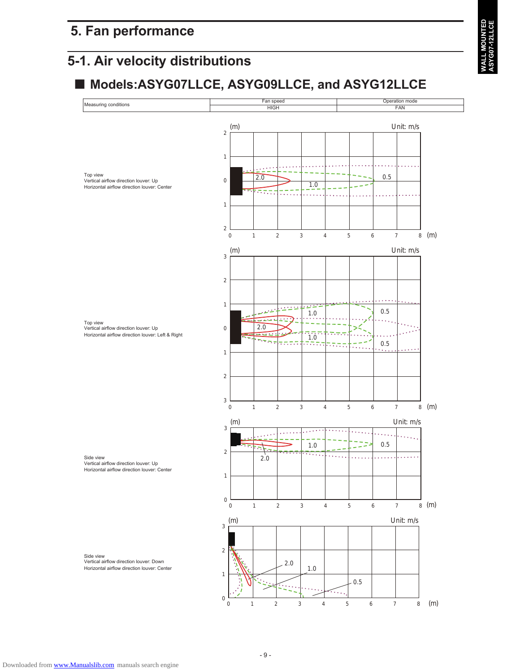## **5-1. Air velocity distributions**

## ■ Models:ASYG07LLCE, ASYG09LLCE, and ASYG12LLCE

**ALL MOUNTED**<br>SYG07-12LLCE **WALL MOUNTED ASYG07-12LLCE**



Top view Vertical airflow direction louver: Up Horizontal airflow direction louver: Left & Right

Side view Vertical airflow direction louver: Down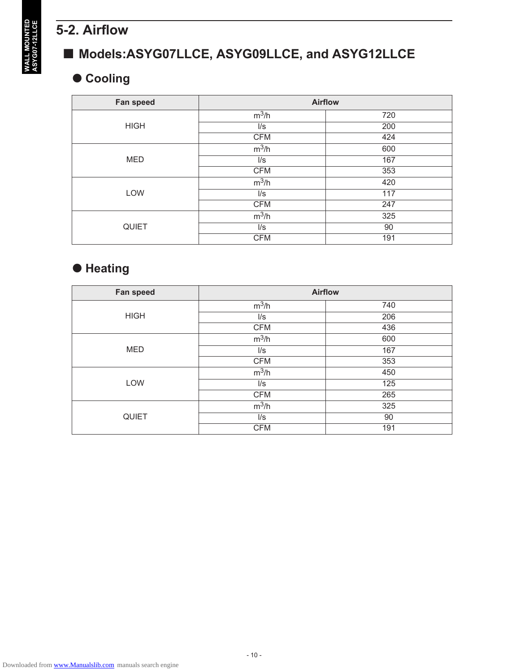## **5-2. Airflow**

## ■ Models:ASYG07LLCE, ASYG09LLCE, and ASYG12LLCE

## **Cooling**

| Fan speed    |                          | <b>Airflow</b> |
|--------------|--------------------------|----------------|
|              | $m^3/h$                  | 720            |
| <b>HIGH</b>  | $\mathsf{II}/\mathsf{S}$ | 200            |
|              | <b>CFM</b>               | 424            |
|              | $m^3/h$                  | 600            |
| <b>MED</b>   | $\mathsf{I}/\mathsf{s}$  | 167            |
|              | <b>CFM</b>               | 353            |
|              | $m^3/h$                  | 420            |
| <b>LOW</b>   | $\mathsf{II}/\mathsf{S}$ | 117            |
|              | <b>CFM</b>               | 247            |
|              | $m^3/h$                  | 325            |
| <b>QUIET</b> | $\mathsf{II}/\mathsf{S}$ | 90             |
|              | <b>CFM</b>               | 191            |

## **Heating**

| Fan speed    |                          | <b>Airflow</b> |  |  |  |  |
|--------------|--------------------------|----------------|--|--|--|--|
|              | $m^3/h$                  | 740            |  |  |  |  |
| <b>HIGH</b>  | $\mathsf{II}/\mathsf{S}$ | 206            |  |  |  |  |
|              | <b>CFM</b>               | 436            |  |  |  |  |
|              | $m^3/h$                  | 600            |  |  |  |  |
| <b>MED</b>   | $\mathsf{II}/\mathsf{S}$ | 167            |  |  |  |  |
|              | <b>CFM</b>               | 353            |  |  |  |  |
|              | $m^3/h$                  | 450            |  |  |  |  |
| LOW          | $\mathsf{II}/\mathsf{s}$ | 125            |  |  |  |  |
|              | <b>CFM</b>               | 265            |  |  |  |  |
|              | $m^3/h$                  | 325            |  |  |  |  |
| <b>QUIET</b> | $\mathsf{I}/\mathsf{s}$  | 90             |  |  |  |  |
|              | <b>CFM</b>               | 191            |  |  |  |  |

**WALL MOUNTED<br>ASYG07-12LLCE WALL MOUNTED ASYG07-12LLCE**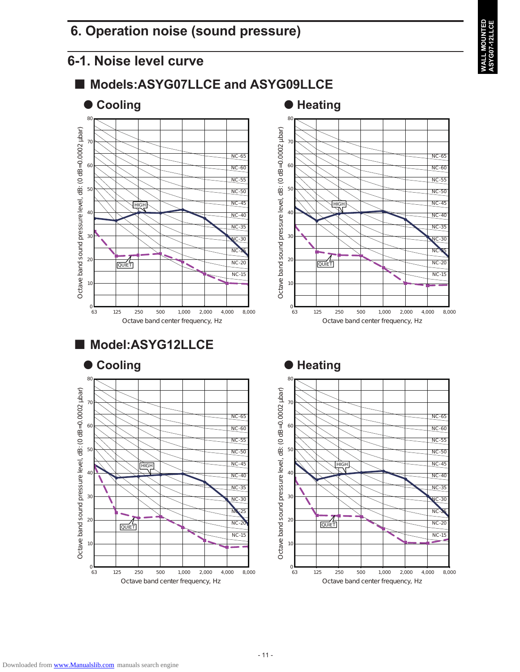## **6. Operation noise (sound pressure)**

## **6-1. Noise level curve**



**WALL MOUNTED ASYG07-12LLCE**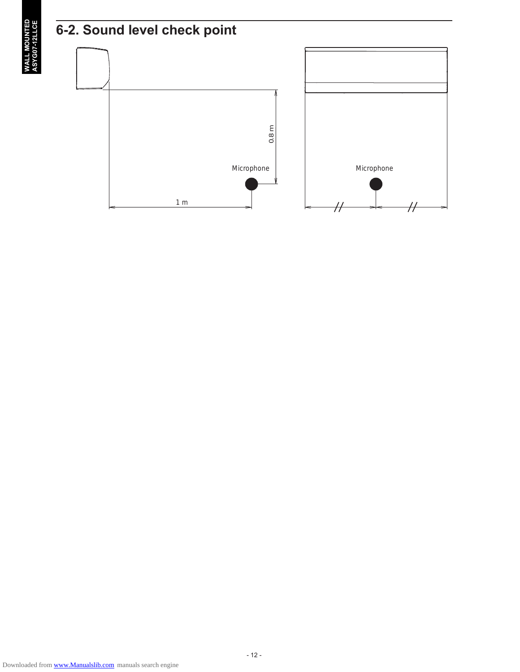

**WALL MOUNTED**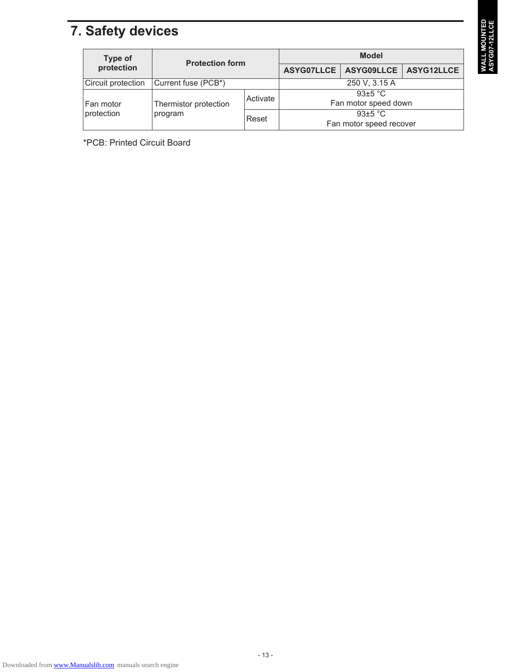## **7. Safety devices**

| Type of            | <b>Protection form</b>           |          | <b>Model</b>            |                                      |  |
|--------------------|----------------------------------|----------|-------------------------|--------------------------------------|--|
| protection         |                                  |          |                         | ASYG07LLCE   ASYG09LLCE   ASYG12LLCE |  |
| Circuit protection | Current fuse (PCB*)              |          | 250 V, 3.15 A           |                                      |  |
|                    |                                  | Activate | 93 $\pm$ 5 °C           |                                      |  |
| Fan motor          | Thermistor protection<br>program |          |                         | Fan motor speed down                 |  |
| protection         |                                  | Reset    |                         | 93+5 °C                              |  |
|                    |                                  |          | Fan motor speed recover |                                      |  |

\*PCB: Printed Circuit Board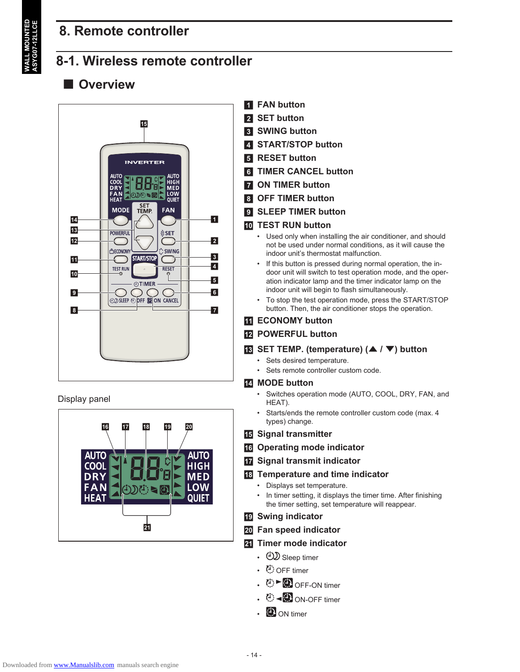## **WALL MOUNTED ASYG07-12LLCE**

## **8. Remote controller**

## **8-1. Wireless remote controller**

## $\blacksquare$  Overview



Display panel



- **FAN button**
- **2** SET button
- **8** SWING button
- **4 START/STOP button**
- **E** RESET button
- f **TIMER CANCEL button**
- $\blacksquare$  **ON TIMER button**
- **B** OFF TIMER button
- **9 SLEEP TIMER button**

#### **10 TEST RUN button**

- Used only when installing the air conditioner, and should not be used under normal conditions, as it will cause the indoor unit's thermostat malfunction.
- If this button is pressed during normal operation, the indoor unit will switch to test operation mode, and the operation indicator lamp and the timer indicator lamp on the indoor unit will begin to flash simultaneously.
- To stop the test operation mode, press the START/STOP button. Then, the air conditioner stops the operation.

#### **K** ECONOMY button

#### **12 POWERFUL button**

- **18 SET TEMP. (temperature) (▲ / ▼) button** 
	- Sets desired temperature.
	- Sets remote controller custom code.

#### **14** MODE button

- Switches operation mode (AUTO, COOL, DRY, FAN, and HEAT).
- Starts/ends the remote controller custom code (max. 4 types) change.
- **15 Signal transmitter**
- **16 Operating mode indicator**
- $\overline{v}$  Signal transmit indicator

#### **R** Temperature and time indicator

- Displays set temperature.
- In timer setting, it displays the timer time. After finishing the timer setting, set temperature will reappear.
- **19 Swing indicator**
- **20** Fan speed indicator

#### **21** Timer mode indicator

- $\bigcirc$  Sleep timer
- ① OFF timer
- $\cdot$   $\circ$   $\triangleright$   $\circ$  OFF-ON timer
- $\cdot$   $\bullet$   $\bullet$  ON-OFF timer
- **ED** ON timer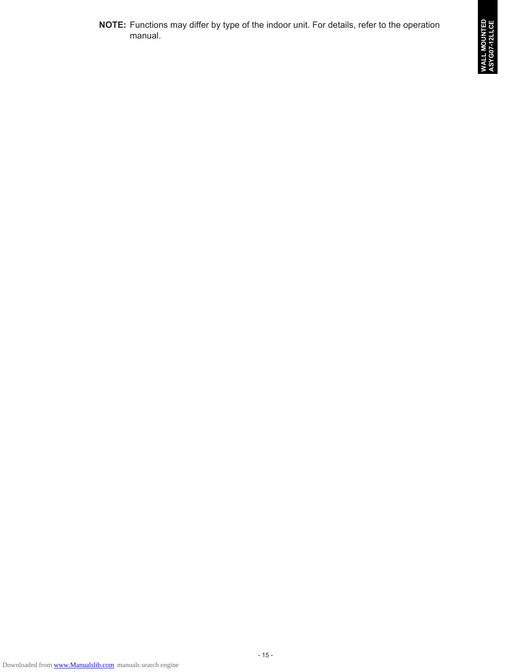**NOTE:** Functions may differ by type of the indoor unit. For details, refer to the operation manual.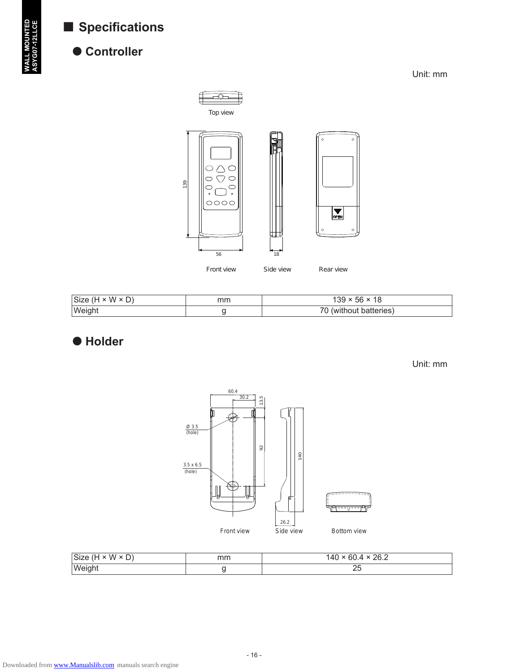## ■ Specifications



## ● Controller

Unit: mm



| $ Size (H \times W \times D) $ | mm | $139 \times 56 \times 18$ |
|--------------------------------|----|---------------------------|
| <b>Weight</b>                  |    | 70 (without batteries)    |

**Holder**

Unit: mm



| $\vert$ Size (H × W × D) | mm | ່າຂາ<br> 40<br>00.4<br>ZU.Z |
|--------------------------|----|-----------------------------|
| Weight                   |    | ∠J                          |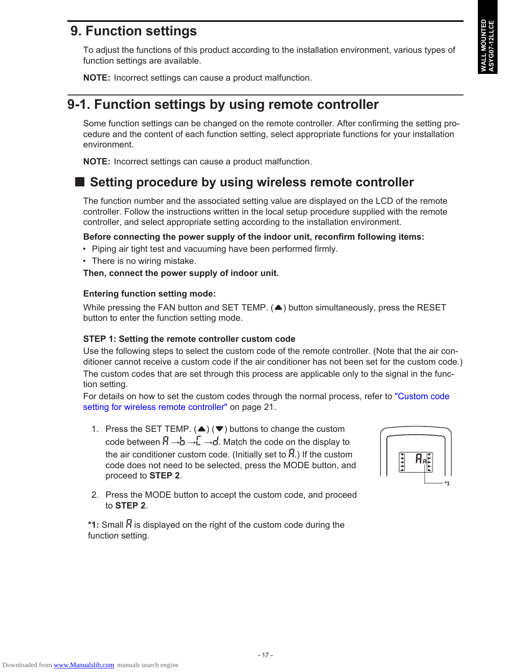## **9. Function settings**

To adjust the functions of this product according to the installation environment, various types of function settings are available.

**NOTE:** Incorrect settings can cause a product malfunction.

## **9-1. Function settings by using remote controller**

Some function settings can be changed on the remote controller. After confirming the setting procedure and the content of each function setting, select appropriate functions for your installation environment.

**NOTE:** Incorrect settings can cause a product malfunction.

## ■ Setting procedure by using wireless remote controller

The function number and the associated setting value are displayed on the LCD of the remote controller. Follow the instructions written in the local setup procedure supplied with the remote controller, and select appropriate setting according to the installation environment.

#### **Before connecting the power supply of the indoor unit, reconfirm following items:**

- Piping air tight test and vacuuming have been performed firmly.
- There is no wiring mistake.

**Then, connect the power supply of indoor unit.**

#### **Entering function setting mode:**

While pressing the FAN button and SET TEMP.  $($   $\blacktriangle$ ) button simultaneously, press the RESET button to enter the function setting mode.

#### **STEP 1: Setting the remote controller custom code**

Use the following steps to select the custom code of the remote controller. (Note that the air conditioner cannot receive a custom code if the air conditioner has not been set for the custom code.) The custom codes that are set through this process are applicable only to the signal in the function setting.

For details on how to set the custom codes through the normal process, refer to "Custom code setting for wireless remote controller" on page 21.

1. Press the SET TEMP.  $($   $\blacktriangle$  $)$  ( $\blacktriangledown$ ) buttons to change the custom code between  $\vec{H} \rightarrow \vec{L} \rightarrow \vec{L}$ . Match the code on the display to the air conditioner custom code. (Initially set to  $\mathcal{F}$ .) If the custom code does not need to be selected, press the MODE button, and proceed to **STEP 2**.



2. Press the MODE button to accept the custom code, and proceed to **STEP 2**.

\*1: Small  $\overline{B}$  is displayed on the right of the custom code during the function setting.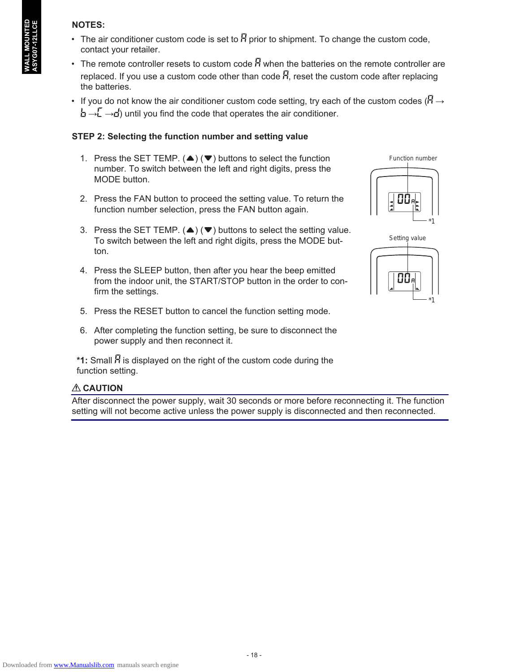#### **NOTES:**

- The air conditioner custom code is set to  $\overline{B}$  prior to shipment. To change the custom code, contact your retailer.
- The remote controller resets to custom code  $\overline{H}$  when the batteries on the remote controller are replaced. If you use a custom code other than code  $\vec{H}$ , reset the custom code after replacing the batteries.
- If you do not know the air conditioner custom code setting, try each of the custom codes ( $\overline{H} \rightarrow$  $\mathbf{b} \rightarrow \mathbf{b}$   $\rightarrow$   $\mathbf{c}$ ) until you find the code that operates the air conditioner.

#### **STEP 2: Selecting the function number and setting value**

- 1. Press the SET TEMP. ( $\blacktriangle$ ) ( $\nabla$ ) buttons to select the function number. To switch between the left and right digits, press the MODE button.
- 2. Press the FAN button to proceed the setting value. To return the function number selection, press the FAN button again.
- 3. Press the SET TEMP. ( $\blacktriangle$ ) ( $\nabla$ ) buttons to select the setting value. To switch between the left and right digits, press the MODE button.
- 4. Press the SLEEP button, then after you hear the beep emitted from the indoor unit, the START/STOP button in the order to confirm the settings.
- 5. Press the RESET button to cancel the function setting mode.
- 6. After completing the function setting, be sure to disconnect the power supply and then reconnect it.

\*1: Small  $\bar{H}$  is displayed on the right of the custom code during the function setting.

### **CAUTION**

After disconnect the power supply, wait 30 seconds or more before reconnecting it. The function setting will not become active unless the power supply is disconnected and then reconnected.



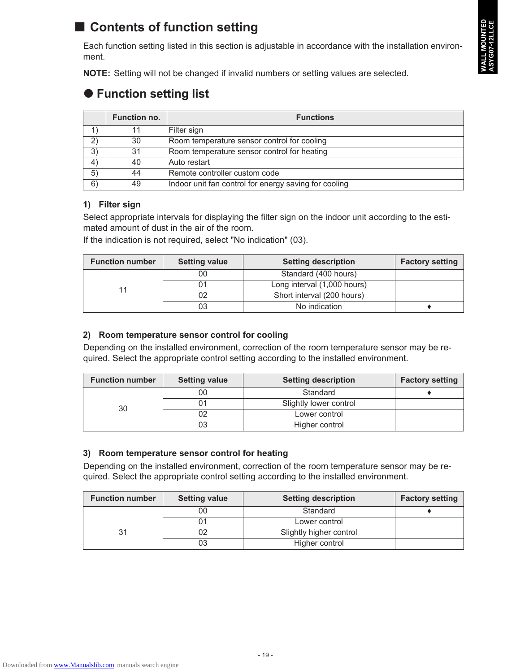## ■ Contents of function setting

Each function setting listed in this section is adjustable in accordance with the installation environment.

**NOTE:** Setting will not be changed if invalid numbers or setting values are selected.

## **Function setting list**

|               | <b>Function no.</b> | <b>Functions</b>                                      |
|---------------|---------------------|-------------------------------------------------------|
| $\rightarrow$ |                     | Filter sign                                           |
| 2)            | 30                  | Room temperature sensor control for cooling           |
| 3)            | 31                  | Room temperature sensor control for heating           |
| 4)            | 40                  | Auto restart                                          |
| 5)            | 44                  | Remote controller custom code                         |
| 6)            | 49                  | Indoor unit fan control for energy saving for cooling |

#### **1) Filter sign**

Select appropriate intervals for displaying the filter sign on the indoor unit according to the estimated amount of dust in the air of the room.

If the indication is not required, select "No indication" (03).

| <b>Function number</b> | <b>Setting value</b> | <b>Setting description</b>  | <b>Factory setting</b> |
|------------------------|----------------------|-----------------------------|------------------------|
| 11                     | 00                   | Standard (400 hours)        |                        |
|                        |                      | Long interval (1,000 hours) |                        |
|                        |                      | Short interval (200 hours)  |                        |
|                        |                      | No indication               |                        |

#### **2) Room temperature sensor control for cooling**

Depending on the installed environment, correction of the room temperature sensor may be required. Select the appropriate control setting according to the installed environment.

| <b>Function number</b> | <b>Setting value</b> | <b>Setting description</b> | <b>Factory setting</b> |
|------------------------|----------------------|----------------------------|------------------------|
|                        | 00                   | Standard                   |                        |
| 30                     |                      | Slightly lower control     |                        |
|                        |                      | Lower control              |                        |
|                        |                      | Higher control             |                        |

#### **3) Room temperature sensor control for heating**

Depending on the installed environment, correction of the room temperature sensor may be required. Select the appropriate control setting according to the installed environment.

| <b>Function number</b> | <b>Setting value</b> | <b>Setting description</b> | <b>Factory setting</b> |
|------------------------|----------------------|----------------------------|------------------------|
|                        | 00                   | Standard                   |                        |
|                        |                      | Lower control              |                        |
| 31                     |                      | Slightly higher control    |                        |
|                        |                      | Higher control             |                        |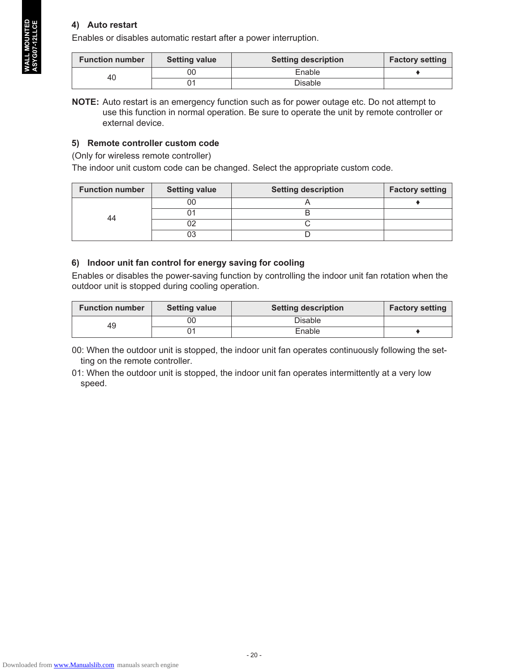#### **4) Auto restart**

Enables or disables automatic restart after a power interruption.

| <b>Function number</b> | <b>Setting value</b> | <b>Setting description</b> | <b>Factory setting</b> |
|------------------------|----------------------|----------------------------|------------------------|
| 40                     | 00                   | Enable                     |                        |
|                        |                      | Disable                    |                        |

**NOTE:** Auto restart is an emergency function such as for power outage etc. Do not attempt to use this function in normal operation. Be sure to operate the unit by remote controller or external device.

#### **5) Remote controller custom code**

(Only for wireless remote controller)

The indoor unit custom code can be changed. Select the appropriate custom code.

| <b>Function number</b> | <b>Setting value</b> | <b>Setting description</b> | <b>Factory setting</b> |
|------------------------|----------------------|----------------------------|------------------------|
| 44                     |                      |                            |                        |
|                        |                      |                            |                        |
|                        |                      |                            |                        |
|                        |                      |                            |                        |

#### **6) Indoor unit fan control for energy saving for cooling**

Enables or disables the power-saving function by controlling the indoor unit fan rotation when the outdoor unit is stopped during cooling operation.

| <b>Function number</b> | <b>Setting value</b> | <b>Setting description</b> | <b>Factory setting</b> |
|------------------------|----------------------|----------------------------|------------------------|
| 49                     | 00                   | <b>Disable</b>             |                        |
|                        |                      | Enable                     |                        |

00: When the outdoor unit is stopped, the indoor unit fan operates continuously following the setting on the remote controller.

01: When the outdoor unit is stopped, the indoor unit fan operates intermittently at a very low speed.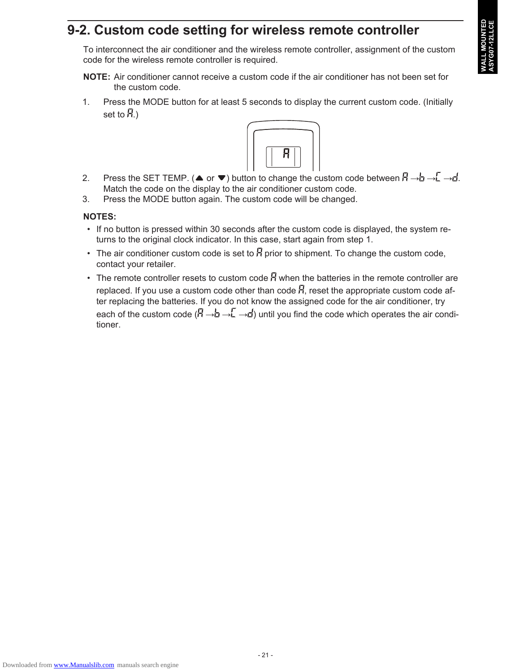## **9-2. Custom code setting for wireless remote controller**

To interconnect the air conditioner and the wireless remote controller, assignment of the custom code for the wireless remote controller is required.

- **NOTE:** Air conditioner cannot receive a custom code if the air conditioner has not been set for the custom code.
- 1. Press the MODE button for at least 5 seconds to display the current custom code. (Initially set to  $H_{\cdot}$ )



- 2. Press the SET TEMP. ( $\blacktriangle$  or  $\nabla$ ) button to change the custom code between  $\overline{B} \rightarrow \overline{B} \rightarrow \overline{L} \rightarrow \overline{B}$ . Match the code on the display to the air conditioner custom code.
- 3. Press the MODE button again. The custom code will be changed.

#### **NOTES:**

- If no button is pressed within 30 seconds after the custom code is displayed, the system returns to the original clock indicator. In this case, start again from step 1.
- The air conditioner custom code is set to  $\overline{B}$  prior to shipment. To change the custom code, contact your retailer.
- The remote controller resets to custom code  $\vec{H}$  when the batteries in the remote controller are replaced. If you use a custom code other than code  $\vec{H}$ , reset the appropriate custom code after replacing the batteries. If you do not know the assigned code for the air conditioner, try each of the custom code ( $\vec{H} \rightarrow \vec{L} \rightarrow \vec{L}$ ) until you find the code which operates the air conditioner.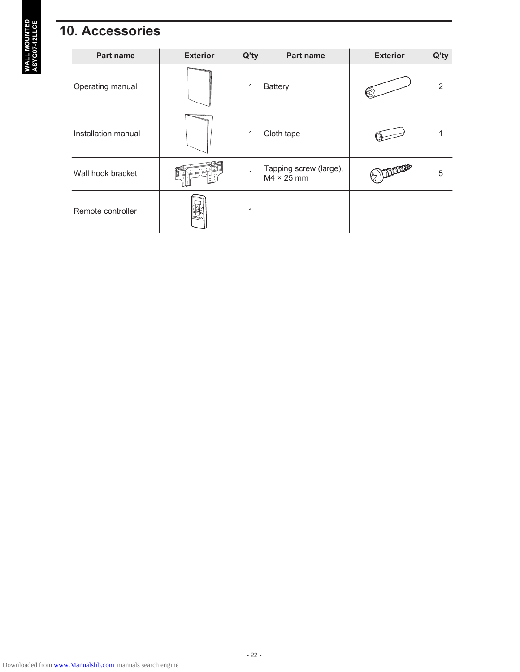## **10. Accessories**

| Part name           | <b>Exterior</b>                | $Q'$ ty | Part name                                   | <b>Exterior</b> | $Q'$ ty        |
|---------------------|--------------------------------|---------|---------------------------------------------|-----------------|----------------|
| Operating manual    |                                | 1       | <b>Battery</b>                              |                 | $\overline{2}$ |
| Installation manual |                                | 1       | Cloth tape                                  |                 |                |
| Wall hook bracket   |                                | 1       | Tapping screw (large),<br>$M4 \times 25$ mm |                 | 5              |
| Remote controller   | $\overline{\circ \circ \circ}$ | 1       |                                             |                 |                |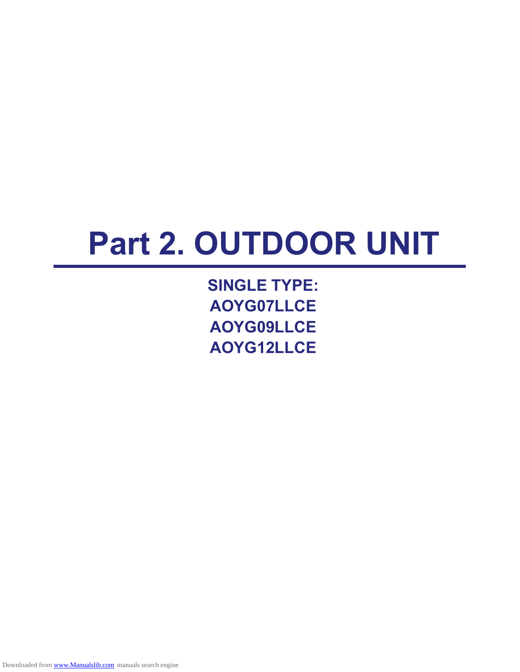# **Part 2. OUTDOOR UNIT**

**SINGLE TYPE: AOYG07LLCE AOYG09LLCE AOYG12LLCE**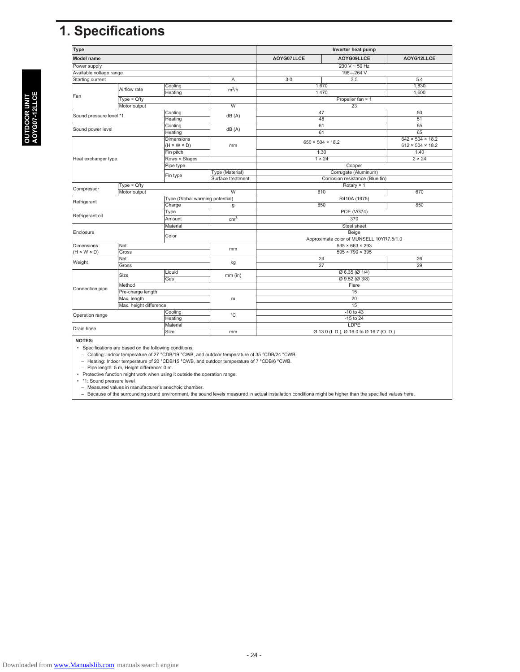## **1. Specifications**

| <b>Type</b>                           |                    | Inverter heat pump              |                   |                                          |                                         |                              |  |
|---------------------------------------|--------------------|---------------------------------|-------------------|------------------------------------------|-----------------------------------------|------------------------------|--|
| <b>Model name</b>                     |                    |                                 | AOYG07LLCE        | AOYG09LLCE                               | AOYG12LLCE                              |                              |  |
| Power supply                          |                    |                                 |                   | $230 V - 50 Hz$                          |                                         |                              |  |
| Available voltage range               |                    |                                 | 198-264 V         |                                          |                                         |                              |  |
| Starting current<br>Α                 |                    | $\overline{3.5}$<br>3.0         |                   | 5.4                                      |                                         |                              |  |
|                                       | Airflow rate       | Cooling                         | $m^3/h$           |                                          | 1,670                                   |                              |  |
|                                       |                    | Heating                         |                   |                                          | 1,470                                   | 1,600                        |  |
| Fan                                   | $Type \times Q'tv$ |                                 |                   |                                          | Propeller fan × 1                       |                              |  |
|                                       | Motor output       |                                 | W                 |                                          | $\overline{23}$                         |                              |  |
|                                       |                    | Cooling                         |                   |                                          | 47                                      | 50                           |  |
| Sound pressure level *1               |                    | Heating                         | dB(A)             |                                          | 48                                      | $\overline{51}$              |  |
|                                       |                    | Cooling                         |                   |                                          | 61                                      | 65                           |  |
| Sound power level                     |                    | Heating                         | dB(A)             |                                          | 61                                      | 65                           |  |
|                                       |                    | <b>Dimensions</b>               |                   |                                          |                                         | $642 \times 504 \times 18.2$ |  |
|                                       |                    | $(H \times W \times D)$         | mm                | $650 \times 504 \times 18.2$             |                                         | $612 \times 504 \times 18.2$ |  |
|                                       |                    | Fin pitch                       |                   | 1.30                                     |                                         | 1.40                         |  |
| Heat exchanger type                   |                    | Rows × Stages                   |                   |                                          | $1 \times 24$                           | $2 \times 24$                |  |
|                                       |                    | Pipe type                       |                   | Copper                                   |                                         |                              |  |
|                                       |                    |                                 | Type (Material)   | Corrugate (Aluminum)                     |                                         |                              |  |
|                                       |                    | Fin type                        | Surface treatment | Corrosion resistance (Blue fin)          |                                         |                              |  |
| $Type \times Q'ty$                    |                    |                                 |                   | Rotary × 1                               |                                         |                              |  |
| Compressor                            | Motor output       |                                 | $\overline{w}$    |                                          | 610                                     | 670                          |  |
|                                       |                    | Type (Global warming potential) |                   |                                          | R410A (1975)                            |                              |  |
| Refrigerant                           |                    | Charge                          | g                 |                                          | 650                                     | 850                          |  |
|                                       |                    | Type                            |                   | <b>POE (VG74)</b>                        |                                         |                              |  |
| Refrigerant oil                       |                    | Amount                          | cm <sup>3</sup>   | 370                                      |                                         |                              |  |
|                                       |                    | Material                        |                   |                                          | Steel sheet                             |                              |  |
| Enclosure                             |                    | Color                           |                   | Beige                                    |                                         |                              |  |
|                                       |                    |                                 |                   | Approximate color of MUNSELL 10YR7.5/1.0 |                                         |                              |  |
| <b>Dimensions</b>                     | <b>Net</b>         |                                 |                   | $535 \times 663 \times 293$              |                                         |                              |  |
| $(H \times W \times D)$               | Gross              |                                 | mm                |                                          | $595 \times 790 \times 395$             |                              |  |
|                                       | Net                |                                 |                   |                                          | $\overline{24}$                         | $\overline{26}$              |  |
| Weight                                | Gross              |                                 | kg                |                                          | $\overline{27}$                         | 29                           |  |
|                                       |                    | Liquid                          |                   |                                          | $\varnothing$ 6.35 ( $\varnothing$ 1/4) |                              |  |
|                                       | Size               | Gas                             | $mm$ (in)         | $Q$ 9.52 ( $Q$ 3/8)                      |                                         |                              |  |
|                                       | Method             |                                 |                   | Flare                                    |                                         |                              |  |
| Connection pipe                       | Pre-charge length  |                                 |                   |                                          | 15                                      |                              |  |
| Max. length<br>Max. height difference |                    |                                 | m                 | $\overline{20}$                          |                                         |                              |  |
|                                       |                    |                                 |                   | $\overline{15}$                          |                                         |                              |  |
|                                       |                    | Cooling                         |                   |                                          | $-10$ to $43$                           |                              |  |
| Operation range                       |                    | Heating                         | $^{\circ}$ C      |                                          | $-15$ to 24                             |                              |  |
|                                       |                    | Material                        |                   |                                          | LDPE                                    |                              |  |
| Drain hose                            |                    | Size                            | mm                | Ø 13.0 (I. D.), Ø 16.0 to Ø 16.7 (O. D.) |                                         |                              |  |
|                                       |                    |                                 |                   |                                          |                                         |                              |  |

**NOTES:**

• Specifications are based on the following conditions:<br>- Cooling: Indoor temperature of 27 °CDB/19 °CWB, and outdoor temperature of 35 °CDB/24 °CWB.<br>- Heating: Indoor temperature of 20 °CDB/15 °CWB, and outdoor temperatu

– Pipe length: 5 m, Height difference: 0 m.

• Protective function might work when using it outside the operation range. • \*1: Sound pressure level

– Measured values in manufacturer's anechoic chamber. – Because of the surrounding sound environment, the sound levels measured in actual installation conditions might be higher than the specified values here.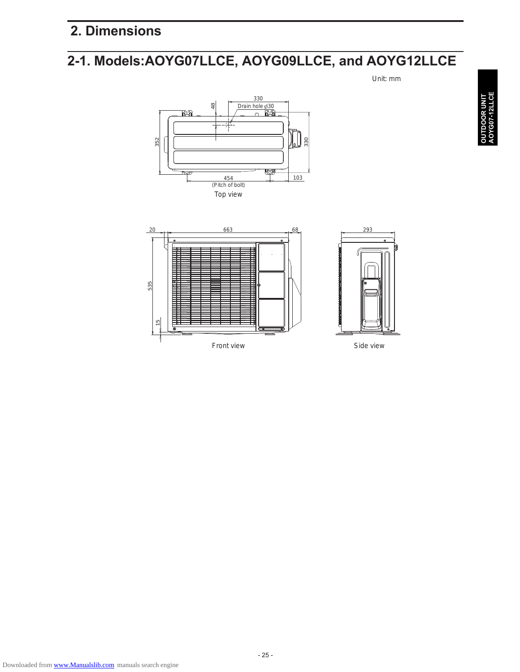## **2. Dimensions**

## **2-1. Models:AOYG07LLCE, AOYG09LLCE, and AOYG12LLCE**

Unit: mm





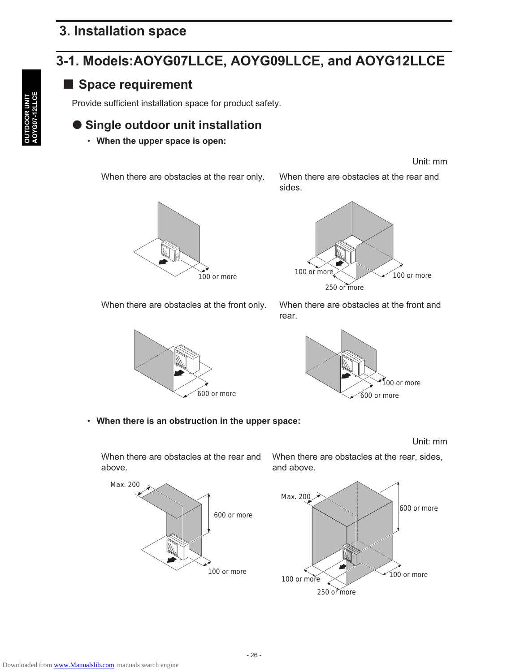## **3. Installation space**

## **3-1. Models:AOYG07LLCE, AOYG09LLCE, and AOYG12LLCE**

### ■ Space requirement

Provide sufficient installation space for product safety.

## **Single outdoor unit installation**

• **When the upper space is open:**

When there are obstacles at the rear only. When there are obstacles at the rear and

sides.







When there are obstacles at the front only. When there are obstacles at the front and rear.



#### • **When there is an obstruction in the upper space:**

Unit: mm

Unit: mm

When there are obstacles at the rear and above.



When there are obstacles at the rear, sides, and above.

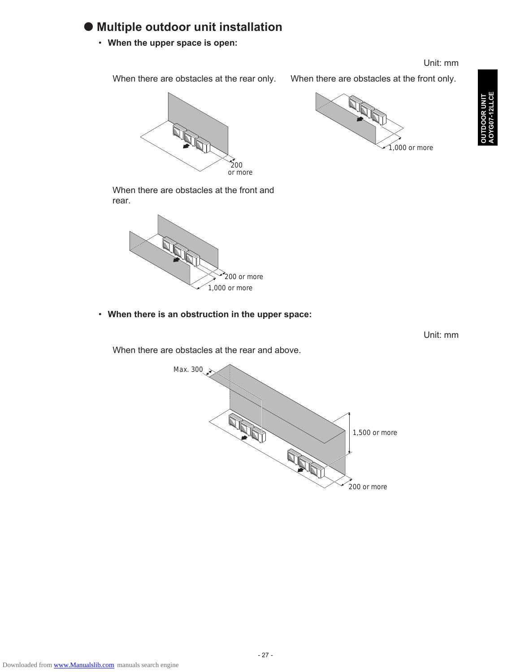### **Multiple outdoor unit installation**

• **When the upper space is open:**

#### Unit: mm

When there are obstacles at the rear only. When there are obstacles at the front only.



 $.000$  or more

200 or more

When there are obstacles at the front and rear.



• **When there is an obstruction in the upper space:**

Unit: mm

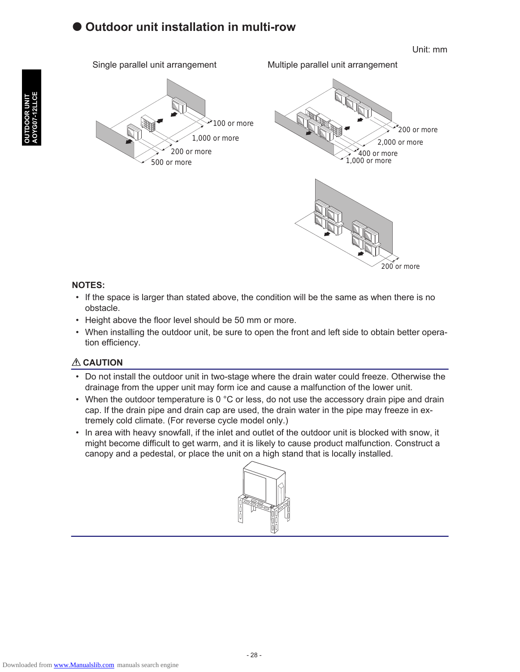### **Outdoor unit installation in multi-row**

Unit: mm





200 or more

#### **NOTES:**

- If the space is larger than stated above, the condition will be the same as when there is no obstacle.
- Height above the floor level should be 50 mm or more.
- When installing the outdoor unit, be sure to open the front and left side to obtain better operation efficiency.

#### **A** CAUTION

- Do not install the outdoor unit in two-stage where the drain water could freeze. Otherwise the drainage from the upper unit may form ice and cause a malfunction of the lower unit.
- When the outdoor temperature is 0  $^{\circ}$ C or less, do not use the accessory drain pipe and drain cap. If the drain pipe and drain cap are used, the drain water in the pipe may freeze in extremely cold climate. (For reverse cycle model only.)
- In area with heavy snowfall, if the inlet and outlet of the outdoor unit is blocked with snow, it might become difficult to get warm, and it is likely to cause product malfunction. Construct a canopy and a pedestal, or place the unit on a high stand that is locally installed.

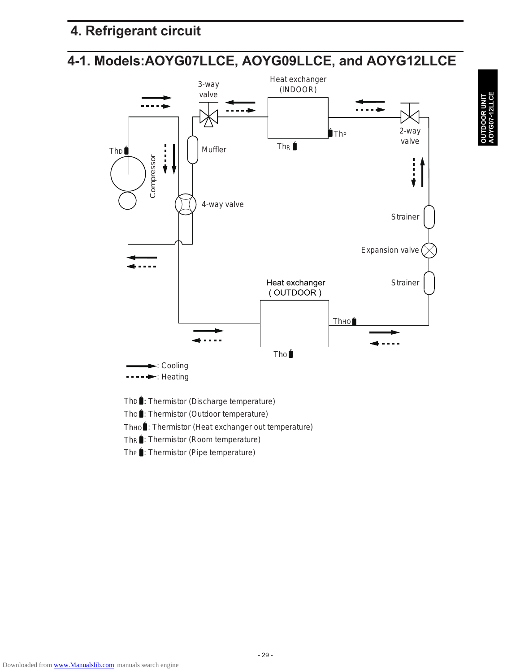## **4. Refrigerant circuit**

## **4-1. Models:AOYG07LLCE, AOYG09LLCE, and AOYG12LLCE**



ThD : Thermistor (Discharge temperature)

ThO : Thermistor (Outdoor temperature)

ThHO : Thermistor (Heat exchanger out temperature)

ThR : Thermistor (Room temperature)

The : Thermistor (Pipe temperature)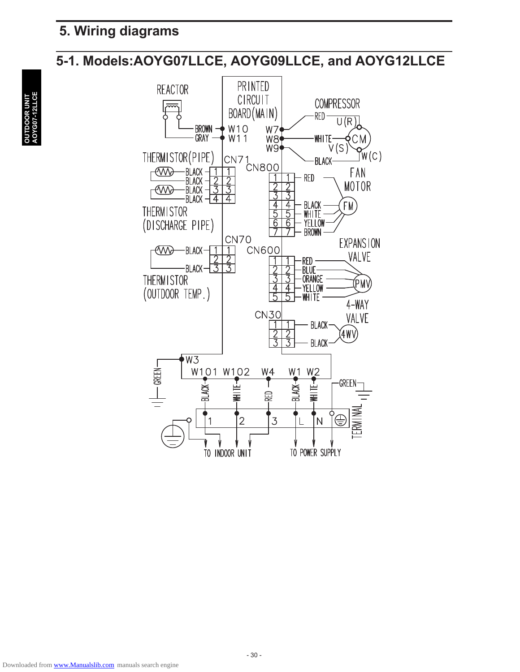## **5. Wiring diagrams**

## **5-1. Models:AOYG07LLCE, AOYG09LLCE, and AOYG12LLCE**

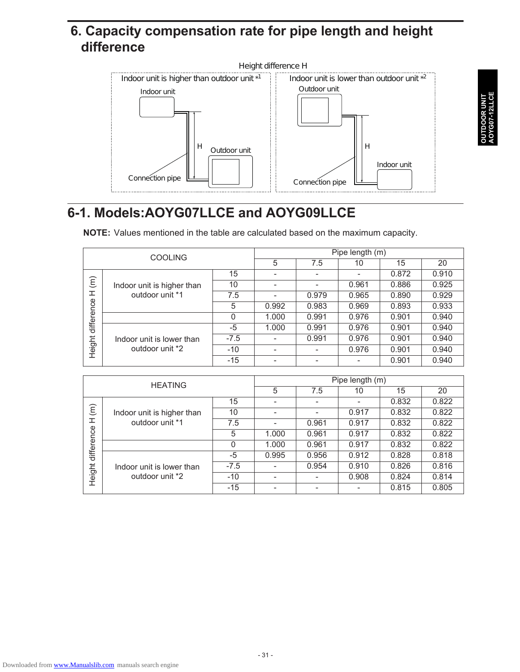## **6. Capacity compensation rate for pipe length and height difference**



## **6-1. Models:AOYG07LLCE and AOYG09LLCE**

**NOTE:** Values mentioned in the table are calculated based on the maximum capacity.

|                      | <b>COOLING</b>             |        | Pipe length (m)          |                          |                          |       |       |
|----------------------|----------------------------|--------|--------------------------|--------------------------|--------------------------|-------|-------|
|                      |                            |        | 5                        | 7.5                      | 10                       | 15    | 20    |
|                      |                            | 15     | $\overline{\phantom{0}}$ | $\overline{\phantom{a}}$ | $\overline{\phantom{a}}$ | 0.872 | 0.910 |
| $\widehat{\epsilon}$ | Indoor unit is higher than | 10     |                          |                          | 0.961                    | 0.886 | 0.925 |
| 工                    | outdoor unit *1            | 7.5    |                          | 0.979                    | 0.965                    | 0.890 | 0.929 |
|                      |                            | 5      | 0.992                    | 0.983                    | 0.969                    | 0.893 | 0.933 |
| difference           |                            | 0      | 1.000                    | 0.991                    | 0.976                    | 0.901 | 0.940 |
|                      |                            | -5     | 1.000                    | 0.991                    | 0.976                    | 0.901 | 0.940 |
|                      | Indoor unit is lower than  | $-7.5$ | $\overline{\phantom{0}}$ | 0.991                    | 0.976                    | 0.901 | 0.940 |
| Height               | outdoor unit *2            | $-10$  |                          |                          | 0.976                    | 0.901 | 0.940 |
|                      |                            | $-15$  |                          |                          |                          | 0.901 | 0.940 |

|                      | <b>HEATING</b>             |        | Pipe length (m) |                          |                          |       |       |
|----------------------|----------------------------|--------|-----------------|--------------------------|--------------------------|-------|-------|
|                      |                            |        | 5               | 7.5                      | 10                       | 15    | 20    |
|                      |                            | 15     |                 | $\overline{\phantom{a}}$ | $\overline{\phantom{a}}$ | 0.832 | 0.822 |
| $\widehat{\epsilon}$ | Indoor unit is higher than | 10     |                 |                          | 0.917                    | 0.832 | 0.822 |
| 工                    | outdoor unit *1            | 7.5    |                 | 0.961                    | 0.917                    | 0.832 | 0.822 |
|                      |                            | 5      | 1.000           | 0.961                    | 0.917                    | 0.832 | 0.822 |
| difference           |                            | 0      | 1.000           | 0.961                    | 0.917                    | 0.832 | 0.822 |
|                      |                            | -5     | 0.995           | 0.956                    | 0.912                    | 0.828 | 0.818 |
|                      | Indoor unit is lower than  | $-7.5$ |                 | 0.954                    | 0.910                    | 0.826 | 0.816 |
| Height               | outdoor unit *2            | $-10$  |                 |                          | 0.908                    | 0.824 | 0.814 |
|                      |                            | $-15$  |                 |                          |                          | 0.815 | 0.805 |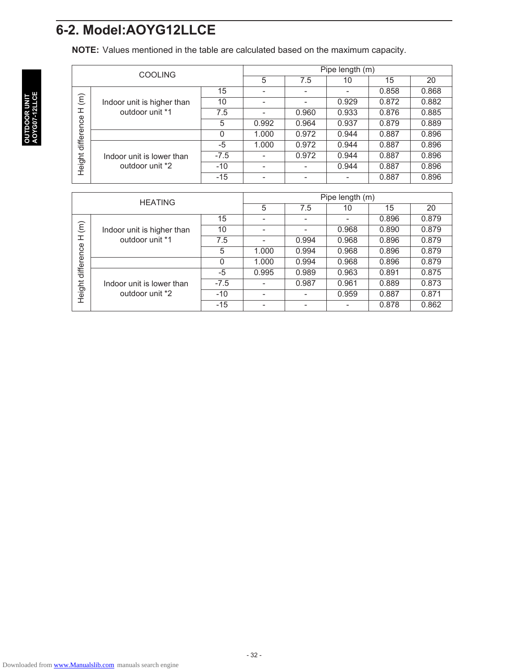## **6-2. Model:AOYG12LLCE**

**NOTE:** Values mentioned in the table are calculated based on the maximum capacity.

|                      | <b>COOLING</b>             |        | Pipe length (m) |       |       |       |       |
|----------------------|----------------------------|--------|-----------------|-------|-------|-------|-------|
|                      |                            |        | 5               | 7.5   | 10    | 15    | 20    |
|                      |                            | 15     |                 |       |       | 0.858 | 0.868 |
| $\widehat{\epsilon}$ | Indoor unit is higher than | 10     |                 |       | 0.929 | 0.872 | 0.882 |
| ェ                    | outdoor unit *1            | 7.5    |                 | 0.960 | 0.933 | 0.876 | 0.885 |
|                      |                            | 5      | 0.992           | 0.964 | 0.937 | 0.879 | 0.889 |
| difference           |                            | 0      | 1.000           | 0.972 | 0.944 | 0.887 | 0.896 |
|                      |                            | -5     | 1.000           | 0.972 | 0.944 | 0.887 | 0.896 |
|                      | Indoor unit is lower than  | $-7.5$ |                 | 0.972 | 0.944 | 0.887 | 0.896 |
| Height               | outdoor unit *2            | $-10$  |                 |       | 0.944 | 0.887 | 0.896 |
|                      |                            | $-15$  |                 |       |       | 0.887 | 0.896 |

|                      | <b>HEATING</b>             |        | Pipe length (m) |       |                          |       |       |
|----------------------|----------------------------|--------|-----------------|-------|--------------------------|-------|-------|
|                      |                            |        | 5               | 7.5   | 10                       | 15    | 20    |
|                      |                            | 15     |                 |       | $\overline{\phantom{0}}$ | 0.896 | 0.879 |
| $\widehat{\epsilon}$ | Indoor unit is higher than | 10     |                 |       | 0.968                    | 0.890 | 0.879 |
| ᆂ                    | outdoor unit *1            | 7.5    |                 | 0.994 | 0.968                    | 0.896 | 0.879 |
| difference           |                            | 5      | 1.000           | 0.994 | 0.968                    | 0.896 | 0.879 |
|                      |                            | 0      | 1.000           | 0.994 | 0.968                    | 0.896 | 0.879 |
|                      |                            | -5     | 0.995           | 0.989 | 0.963                    | 0.891 | 0.875 |
|                      | Indoor unit is lower than  | $-7.5$ |                 | 0.987 | 0.961                    | 0.889 | 0.873 |
| Height               | outdoor unit *2            | $-10$  |                 |       | 0.959                    | 0.887 | 0.871 |
|                      |                            | $-15$  |                 |       |                          | 0.878 | 0.862 |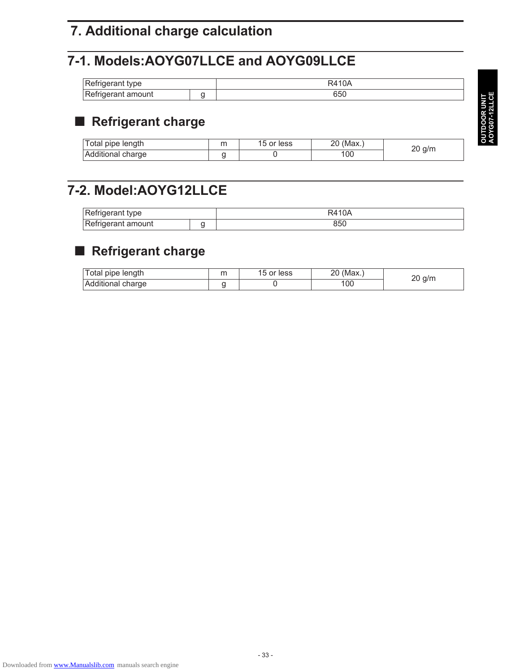## **7. Additional charge calculation**

## **7-1. Models:AOYG07LLCE and AOYG09LLCE**

| Refrigerant type   | R410A<br>1 U.P |
|--------------------|----------------|
| Refrigerant amount | oou            |

## ■ Refrigerant charge

| Total pipe length | 15 or less | (Max.) | ` a/m. |
|-------------------|------------|--------|--------|
| Additional charge |            | 100    |        |

## **7-2. Model:AOYG12LLCE**

| Refrigerant type   | R4104<br>TUF |
|--------------------|--------------|
| Refrigerant amount |              |

## ■ Refrigerant charge

| Total pipe length | m | 15 or less | (Max)<br>חר<br>∠∪ | q/m |
|-------------------|---|------------|-------------------|-----|
| Additional charge |   |            | 100               |     |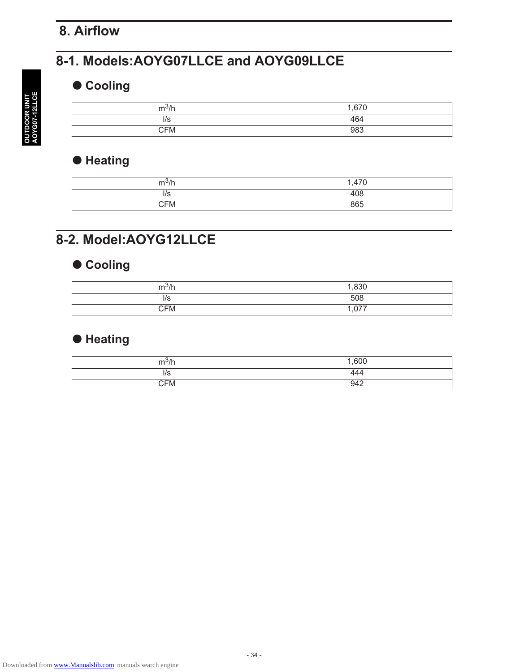## **8. Airflow**

## **8-1. Models:AOYG07LLCE and AOYG09LLCE**

### **Cooling**

| $m^3/h$    | 1 R7N<br>، ب |
|------------|--------------|
| ה ו        | 464          |
| <b>CFM</b> | 983          |

## $\bullet$  Heating

| $m^3/h$           | ,470 |
|-------------------|------|
| $\epsilon$<br>ה ו | 408  |
| CFM               | 865  |

## **8-2. Model:AOYG12LLCE**

## $\bullet$  Cooling

| $m^3/h$<br>711 | 1,830              |
|----------------|--------------------|
| ה ו            | 508                |
| CFM            | $\sim$<br>، / ١. ١ |

## **Heating**

| ما اگتوب<br>$\prime$ $\prime$<br>. | 1,600 |
|------------------------------------|-------|
| l/S                                | 444   |
| CFM                                | 942   |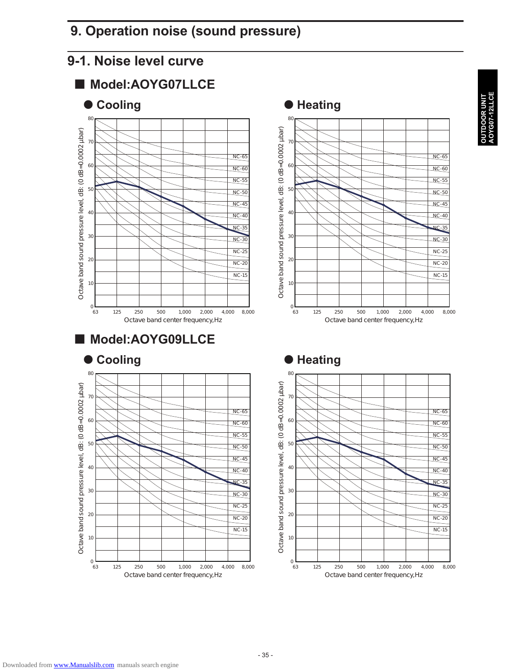## **9. Operation noise (sound pressure)**

## **9-1. Noise level curve**







## **RUNIT<br>I2LLCE AOYG07-12LLCE OUTDOOR UNIT**







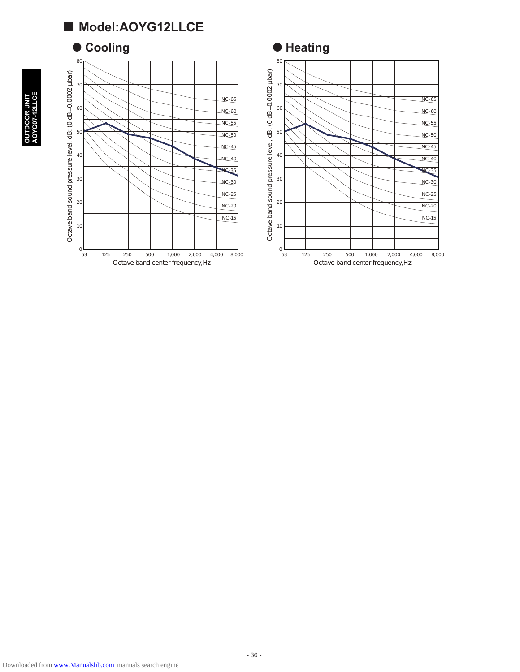## ■ Model:AOYG12LLCE

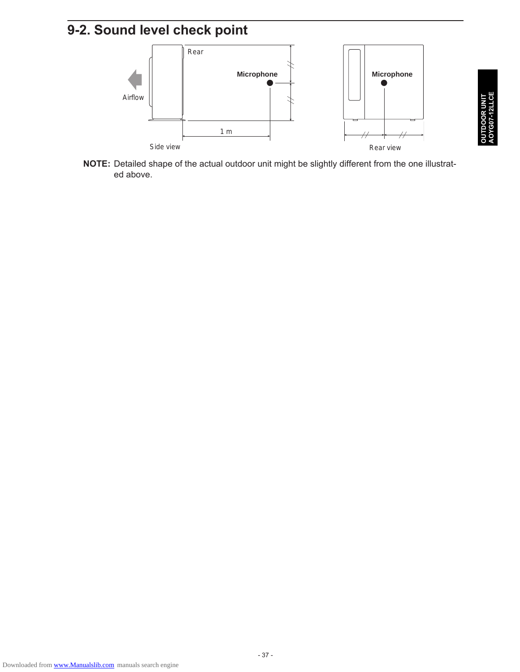## **9-2. Sound level check point**



**NOTE:** Detailed shape of the actual outdoor unit might be slightly different from the one illustrated above.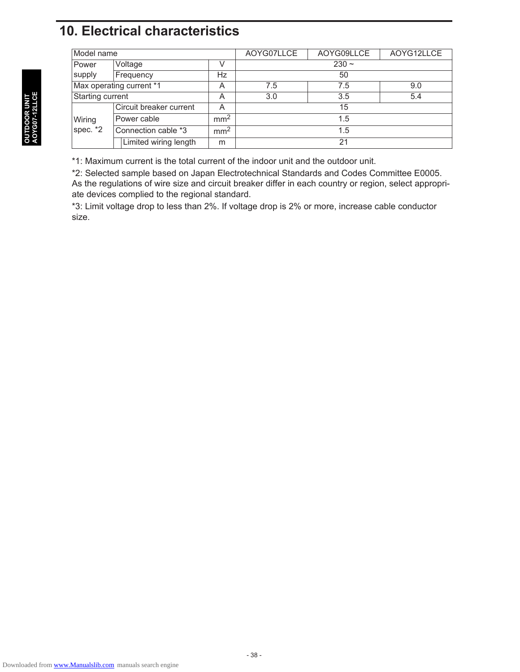## **10. Electrical characteristics**

| Model name               |                         |                 | AOYG07LLCE | AOYG09LLCE | AOYG12LLCE |  |  |
|--------------------------|-------------------------|-----------------|------------|------------|------------|--|--|
| Power<br>supply          | Voltage                 | V               | $230 -$    |            |            |  |  |
|                          | Frequency               | Hz              | 50         |            |            |  |  |
| Max operating current *1 |                         | A               | 7.5        | 7.5        | 9.0        |  |  |
| Starting current         |                         | A               | 3.0        | 3.5        | 5.4        |  |  |
| Wiring<br>spec. *2       | Circuit breaker current | A               | 15         |            |            |  |  |
|                          | Power cable             | mm <sup>2</sup> | 1.5        |            |            |  |  |
|                          | Connection cable *3     | mm <sup>2</sup> | 1.5        |            |            |  |  |
|                          | Limited wiring length   | m               | 21         |            |            |  |  |

\*1: Maximum current is the total current of the indoor unit and the outdoor unit.

\*2: Selected sample based on Japan Electrotechnical Standards and Codes Committee E0005. As the regulations of wire size and circuit breaker differ in each country or region, select appropriate devices complied to the regional standard.

\*3: Limit voltage drop to less than 2%. If voltage drop is 2% or more, increase cable conductor size.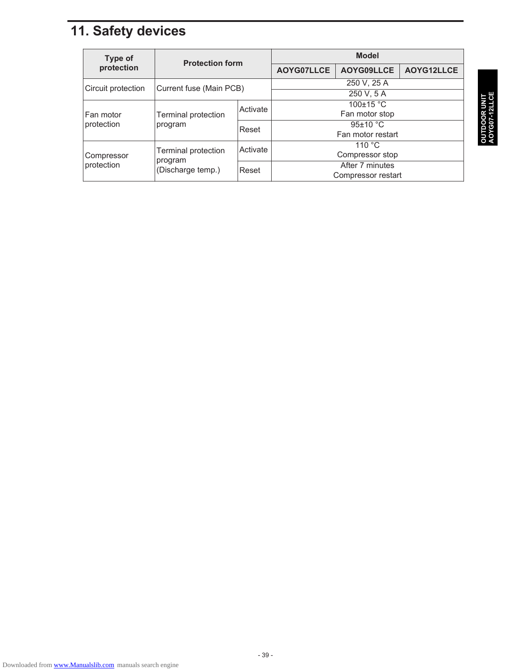## **11. Safety devices**

| Type of            | <b>Protection form</b>                              |          | <b>Model</b>       |            |            |  |
|--------------------|-----------------------------------------------------|----------|--------------------|------------|------------|--|
| protection         |                                                     |          | AOYG07LLCE         | AOYG09LLCE | AOYG12LLCE |  |
| Circuit protection | Current fuse (Main PCB)                             |          | 250 V, 25 A        |            |            |  |
|                    |                                                     |          | 250 V, 5 A         |            |            |  |
|                    |                                                     | Activate | $100\pm15$ °C      |            |            |  |
| Fan motor          | Terminal protection                                 |          | Fan motor stop     |            |            |  |
| protection         | program                                             | Reset    | $95\pm10$ °C       |            |            |  |
|                    |                                                     |          | Fan motor restart  |            |            |  |
|                    | Terminal protection<br>program<br>(Discharge temp.) | Activate | 110 $\degree$ C    |            |            |  |
| Compressor         |                                                     |          | Compressor stop    |            |            |  |
| protection         |                                                     | Reset    | After 7 minutes    |            |            |  |
|                    |                                                     |          | Compressor restart |            |            |  |